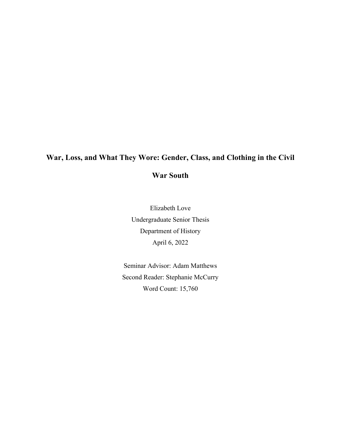# **War, Loss, and What They Wore: Gender, Class, and Clothing in the Civil**

### **War South**

Elizabeth Love Undergraduate Senior Thesis Department of History April 6, 2022

Seminar Advisor: Adam Matthews Second Reader: Stephanie McCurry Word Count: 15,760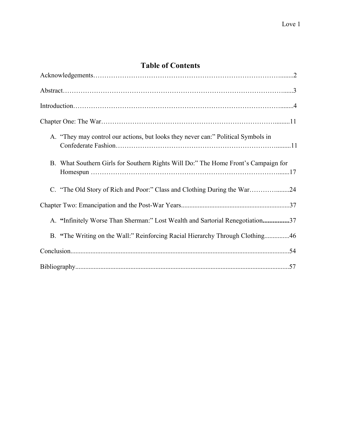### **Table of Contents**

| A. "They may control our actions, but looks they never can:" Political Symbols in  |
|------------------------------------------------------------------------------------|
| B. What Southern Girls for Southern Rights Will Do:" The Home Front's Campaign for |
| C. "The Old Story of Rich and Poor:" Class and Clothing During the War24           |
|                                                                                    |
| A. "Infinitely Worse Than Sherman:" Lost Wealth and Sartorial Renegotiation37      |
| B. "The Writing on the Wall:" Reinforcing Racial Hierarchy Through Clothing46      |
|                                                                                    |
|                                                                                    |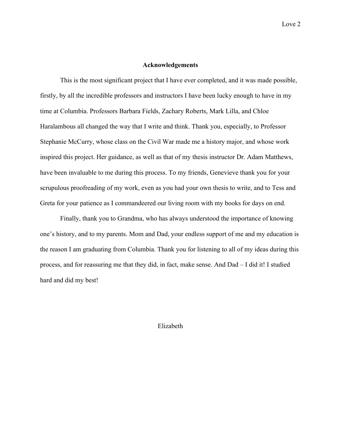### **Acknowledgements**

This is the most significant project that I have ever completed, and it was made possible, firstly, by all the incredible professors and instructors I have been lucky enough to have in my time at Columbia. Professors Barbara Fields, Zachary Roberts, Mark Lilla, and Chloe Haralambous all changed the way that I write and think. Thank you, especially, to Professor Stephanie McCurry, whose class on the Civil War made me a history major, and whose work inspired this project. Her guidance, as well as that of my thesis instructor Dr. Adam Matthews, have been invaluable to me during this process. To my friends, Genevieve thank you for your scrupulous proofreading of my work, even as you had your own thesis to write, and to Tess and Greta for your patience as I commandeered our living room with my books for days on end.

Finally, thank you to Grandma, who has always understood the importance of knowing one's history, and to my parents. Mom and Dad, your endless support of me and my education is the reason I am graduating from Columbia. Thank you for listening to all of my ideas during this process, and for reassuring me that they did, in fact, make sense. And Dad – I did it! I studied hard and did my best!

Elizabeth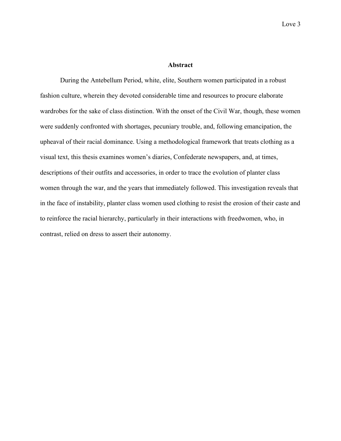#### **Abstract**

During the Antebellum Period, white, elite, Southern women participated in a robust fashion culture, wherein they devoted considerable time and resources to procure elaborate wardrobes for the sake of class distinction. With the onset of the Civil War, though, these women were suddenly confronted with shortages, pecuniary trouble, and, following emancipation, the upheaval of their racial dominance. Using a methodological framework that treats clothing as a visual text, this thesis examines women's diaries, Confederate newspapers, and, at times, descriptions of their outfits and accessories, in order to trace the evolution of planter class women through the war, and the years that immediately followed. This investigation reveals that in the face of instability, planter class women used clothing to resist the erosion of their caste and to reinforce the racial hierarchy, particularly in their interactions with freedwomen, who, in contrast, relied on dress to assert their autonomy.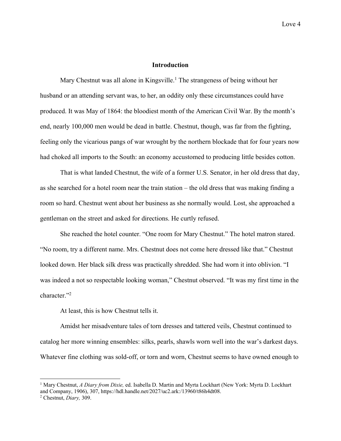### **Introduction**

Mary Chestnut was all alone in Kingsville.<sup>1</sup> The strangeness of being without her husband or an attending servant was, to her, an oddity only these circumstances could have produced. It was May of 1864: the bloodiest month of the American Civil War. By the month's end, nearly 100,000 men would be dead in battle. Chestnut, though, was far from the fighting, feeling only the vicarious pangs of war wrought by the northern blockade that for four years now had choked all imports to the South: an economy accustomed to producing little besides cotton.

That is what landed Chestnut, the wife of a former U.S. Senator, in her old dress that day, as she searched for a hotel room near the train station – the old dress that was making finding a room so hard. Chestnut went about her business as she normally would. Lost, she approached a gentleman on the street and asked for directions. He curtly refused.

She reached the hotel counter. "One room for Mary Chestnut." The hotel matron stared. "No room, try a different name. Mrs. Chestnut does not come here dressed like that." Chestnut looked down. Her black silk dress was practically shredded. She had worn it into oblivion. "I was indeed a not so respectable looking woman," Chestnut observed. "It was my first time in the character."<sup>2</sup>

At least, this is how Chestnut tells it.

Amidst her misadventure tales of torn dresses and tattered veils, Chestnut continued to catalog her more winning ensembles: silks, pearls, shawls worn well into the war's darkest days. Whatever fine clothing was sold-off, or torn and worn, Chestnut seems to have owned enough to

<sup>1</sup> Mary Chestnut, *A Diary from Dixie,* ed. Isabella D. Martin and Myrta Lockhart (New York: Myrta D. Lockhart and Company, 1906), 307, https://hdl.handle.net/2027/uc2.ark:/13960/t86h4dt08.

<sup>2</sup> Chestnut, *Diary,* 309.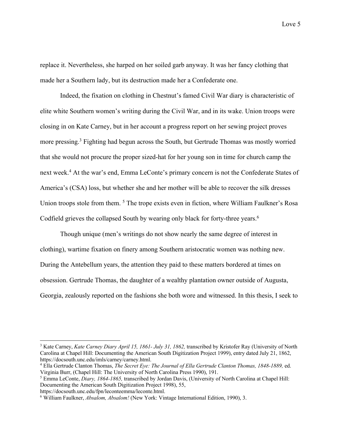replace it. Nevertheless, she harped on her soiled garb anyway. It was her fancy clothing that made her a Southern lady, but its destruction made her a Confederate one.

Indeed, the fixation on clothing in Chestnut's famed Civil War diary is characteristic of elite white Southern women's writing during the Civil War, and in its wake. Union troops were closing in on Kate Carney, but in her account a progress report on her sewing project proves more pressing.<sup>3</sup> Fighting had begun across the South, but Gertrude Thomas was mostly worried that she would not procure the proper sized-hat for her young son in time for church camp the next week.<sup>4</sup> At the war's end, Emma LeConte's primary concern is not the Confederate States of America's (CSA) loss, but whether she and her mother will be able to recover the silk dresses Union troops stole from them. 5 The trope exists even in fiction, where William Faulkner's Rosa Codfield grieves the collapsed South by wearing only black for forty-three years.<sup>6</sup>

Though unique (men's writings do not show nearly the same degree of interest in clothing), wartime fixation on finery among Southern aristocratic women was nothing new. During the Antebellum years, the attention they paid to these matters bordered at times on obsession. Gertrude Thomas, the daughter of a wealthy plantation owner outside of Augusta, Georgia, zealously reported on the fashions she both wore and witnessed. In this thesis, I seek to

https://docsouth.unc.edu/fpn/leconteemma/leconte.html.

<sup>3</sup> Kate Carney, *Kate Carney Diary April 15, 1861- July 31, 1862,* transcribed by Kristofer Ray (University of North Carolina at Chapel Hill: Documenting the American South Digitization Project 1999), entry dated July 21, 1862, https://docsouth.unc.edu/imls/carney/carney.html.

<sup>4</sup> Ella Gertrude Clanton Thomas, *The Secret Eye: The Journal of Ella Gertrude Clanton Thomas, 1848-1889,* ed. Virginia Burr, (Chapel Hill: The University of North Carolina Press 1990), 191.

<sup>5</sup> Emma LeConte, *Diary, 1864-1865,* transcribed by Jordan Davis, (University of North Carolina at Chapel Hill: Documenting the American South Digitization Project 1998), 55,

<sup>6</sup> William Faulkner, *Absalom, Absalom!* (New York: Vintage International Edition, 1990), 3.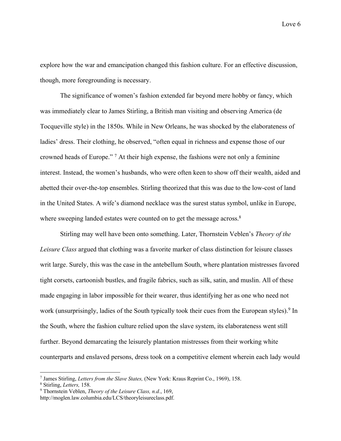explore how the war and emancipation changed this fashion culture. For an effective discussion, though, more foregrounding is necessary.

The significance of women's fashion extended far beyond mere hobby or fancy, which was immediately clear to James Stirling, a British man visiting and observing America (de Tocqueville style) in the 1850s. While in New Orleans, he was shocked by the elaborateness of ladies' dress. Their clothing, he observed, "often equal in richness and expense those of our crowned heads of Europe." 7 At their high expense, the fashions were not only a feminine interest. Instead, the women's husbands, who were often keen to show off their wealth, aided and abetted their over-the-top ensembles. Stirling theorized that this was due to the low-cost of land in the United States. A wife's diamond necklace was the surest status symbol, unlike in Europe, where sweeping landed estates were counted on to get the message across.<sup>8</sup>

Stirling may well have been onto something. Later, Thornstein Veblen's *Theory of the Leisure Class* argued that clothing was a favorite marker of class distinction for leisure classes writ large. Surely, this was the case in the antebellum South, where plantation mistresses favored tight corsets, cartoonish bustles, and fragile fabrics, such as silk, satin, and muslin. All of these made engaging in labor impossible for their wearer, thus identifying her as one who need not work (unsurprisingly, ladies of the South typically took their cues from the European styles).<sup>9</sup> In the South, where the fashion culture relied upon the slave system, its elaborateness went still further. Beyond demarcating the leisurely plantation mistresses from their working white counterparts and enslaved persons, dress took on a competitive element wherein each lady would

<sup>7</sup> James Stirling, *Letters from the Slave States,* (New York: Kraus Reprint Co., 1969), 158. 8 Stirling, *Letters,* 158.

<sup>9</sup> Thornstein Veblen, *Theory of the Leisure Class, n.d.*, 169,

http://moglen.law.columbia.edu/LCS/theoryleisureclass.pdf.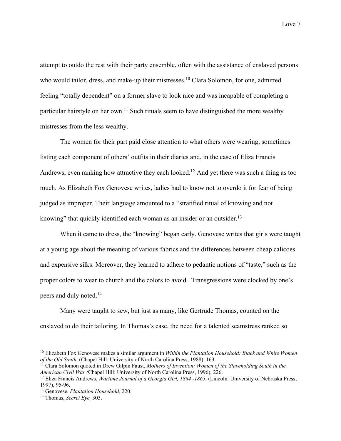attempt to outdo the rest with their party ensemble, often with the assistance of enslaved persons who would tailor, dress, and make-up their mistresses.<sup>10</sup> Clara Solomon, for one, admitted feeling "totally dependent" on a former slave to look nice and was incapable of completing a particular hairstyle on her own.<sup>11</sup> Such rituals seem to have distinguished the more wealthy mistresses from the less wealthy.

The women for their part paid close attention to what others were wearing, sometimes listing each component of others' outfits in their diaries and, in the case of Eliza Francis Andrews, even ranking how attractive they each looked.<sup>12</sup> And yet there was such a thing as too much. As Elizabeth Fox Genovese writes, ladies had to know not to overdo it for fear of being judged as improper. Their language amounted to a "stratified ritual of knowing and not knowing" that quickly identified each woman as an insider or an outsider.<sup>13</sup>

When it came to dress, the "knowing" began early. Genovese writes that girls were taught at a young age about the meaning of various fabrics and the differences between cheap calicoes and expensive silks. Moreover, they learned to adhere to pedantic notions of "taste," such as the proper colors to wear to church and the colors to avoid. Transgressions were clocked by one's peers and duly noted.14

Many were taught to sew, but just as many, like Gertrude Thomas, counted on the enslaved to do their tailoring. In Thomas's case, the need for a talented seamstress ranked so

<sup>10</sup> Elizabeth Fox Genovese makes a similar argument in *Within the Plantation Household: Black and White Women of the Old South,* (Chapel Hill: University of North Carolina Press, 1988), 163.

<sup>&</sup>lt;sup>11</sup> Clara Solomon quoted in Drew Gilpin Faust, *Mothers of Invention: Women of the Slaveholding South in the American Civil War (*Chapel Hill: University of North Carolina Press, 1996), 226.

<sup>12</sup> Eliza Francis Andrews, *Wartime Journal of a Georgia Girl, 1864 -1865,* (Lincoln: University of Nebraska Press, 1997), 95-96. 13 Genovese, *Plantation Household,* 220. 14 Thomas, *Secret Eye,* 303.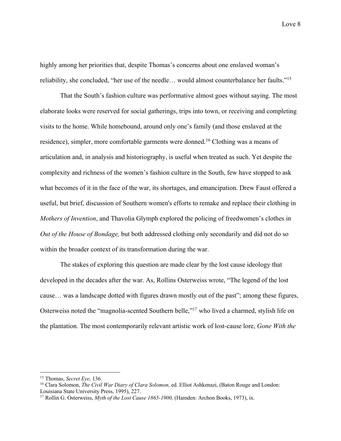highly among her priorities that, despite Thomas's concerns about one enslaved woman's reliability, she concluded, "her use of the needle… would almost counterbalance her faults."15

That the South's fashion culture was performative almost goes without saying. The most elaborate looks were reserved for social gatherings, trips into town, or receiving and completing visits to the home. While homebound, around only one's family (and those enslaved at the residence), simpler, more comfortable garments were donned.16 Clothing was a means of articulation and, in analysis and historiography, is useful when treated as such. Yet despite the complexity and richness of the women's fashion culture in the South, few have stopped to ask what becomes of it in the face of the war, its shortages, and emancipation. Drew Faust offered a useful, but brief, discussion of Southern women's efforts to remake and replace their clothing in *Mothers of Invention*, and Thavolia Glymph explored the policing of freedwomen's clothes in *Out of the House of Bondage,* but both addressed clothing only secondarily and did not do so within the broader context of its transformation during the war.

The stakes of exploring this question are made clear by the lost cause ideology that developed in the decades after the war. As, Rollins Osterweiss wrote, "The legend of the lost cause… was a landscape dotted with figures drawn mostly out of the past"; among these figures, Osterweiss noted the "magnolia-scented Southern belle,"17 who lived a charmed, stylish life on the plantation. The most contemporarily relevant artistic work of lost-cause lore, *Gone With the* 

<sup>&</sup>lt;sup>15</sup> Thomas, *Secret Eye,* 136.<br><sup>16</sup> Clara Solomon, *The Civil War Diary of Clara Solomon*, ed. Elliot Ashkenazi, (Baton Rouge and London: Louisiana State University Press, 1995), 227.

<sup>&</sup>lt;sup>17</sup> Rollin G. Osterweiss, *Myth of the Lost Cause 1865-1900*, (Hamden: Archon Books, 1973), ix.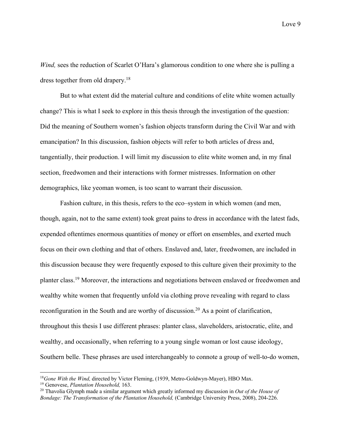*Wind,* sees the reduction of Scarlet O'Hara's glamorous condition to one where she is pulling a dress together from old drapery.18

But to what extent did the material culture and conditions of elite white women actually change? This is what I seek to explore in this thesis through the investigation of the question: Did the meaning of Southern women's fashion objects transform during the Civil War and with emancipation? In this discussion, fashion objects will refer to both articles of dress and, tangentially, their production. I will limit my discussion to elite white women and, in my final section, freedwomen and their interactions with former mistresses. Information on other demographics, like yeoman women, is too scant to warrant their discussion.

Fashion culture, in this thesis, refers to the eco–system in which women (and men, though, again, not to the same extent) took great pains to dress in accordance with the latest fads, expended oftentimes enormous quantities of money or effort on ensembles, and exerted much focus on their own clothing and that of others. Enslaved and, later, freedwomen, are included in this discussion because they were frequently exposed to this culture given their proximity to the planter class.19 Moreover, the interactions and negotiations between enslaved or freedwomen and wealthy white women that frequently unfold via clothing prove revealing with regard to class reconfiguration in the South and are worthy of discussion.<sup>20</sup> As a point of clarification, throughout this thesis I use different phrases: planter class, slaveholders, aristocratic, elite, and wealthy, and occasionally, when referring to a young single woman or lost cause ideology, Southern belle. These phrases are used interchangeably to connote a group of well-to-do women,

<sup>&</sup>lt;sup>18</sup>Gone With the Wind, directed by Victor Fleming, (1939, Metro-Goldwyn-Mayer), HBO Max.

<sup>19</sup> Genovese, *Plantation Household,* 163.

<sup>20</sup> Thavolia Glymph made a similar argument which greatly informed my discussion in *Out of the House of Bondage: The Transformation of the Plantation Household,* (Cambridge University Press, 2008), 204-226.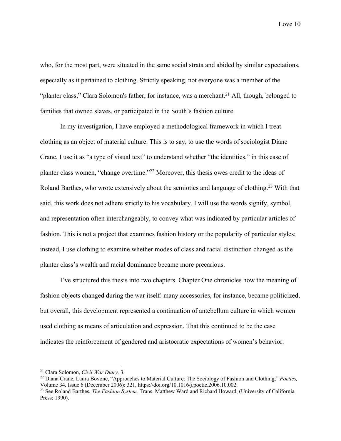who, for the most part, were situated in the same social strata and abided by similar expectations, especially as it pertained to clothing. Strictly speaking, not everyone was a member of the "planter class;" Clara Solomon's father, for instance, was a merchant.<sup>21</sup> All, though, belonged to families that owned slaves, or participated in the South's fashion culture.

In my investigation, I have employed a methodological framework in which I treat clothing as an object of material culture. This is to say, to use the words of sociologist Diane Crane, I use it as "a type of visual text" to understand whether "the identities," in this case of planter class women, "change overtime."22 Moreover, this thesis owes credit to the ideas of Roland Barthes, who wrote extensively about the semiotics and language of clothing.<sup>23</sup> With that said, this work does not adhere strictly to his vocabulary. I will use the words signify, symbol, and representation often interchangeably, to convey what was indicated by particular articles of fashion. This is not a project that examines fashion history or the popularity of particular styles; instead, I use clothing to examine whether modes of class and racial distinction changed as the planter class's wealth and racial dominance became more precarious.

I've structured this thesis into two chapters. Chapter One chronicles how the meaning of fashion objects changed during the war itself: many accessories, for instance, became politicized, but overall, this development represented a continuation of antebellum culture in which women used clothing as means of articulation and expression. That this continued to be the case indicates the reinforcement of gendered and aristocratic expectations of women's behavior.

<sup>21</sup> Clara Solomon, *Civil War Diary,* 3.

<sup>22</sup> Diana Crane, Laura Bovone, "Approaches to Material Culture: The Sociology of Fashion and Clothing," *Poetics,*  Volume 34*,* Issue 6 (December 2006): 321, https://doi.org/10.1016/j.poetic.2006.10.002.

<sup>23</sup> See Roland Barthes, *The Fashion System,* Trans. Matthew Ward and Richard Howard, (University of California Press: 1990).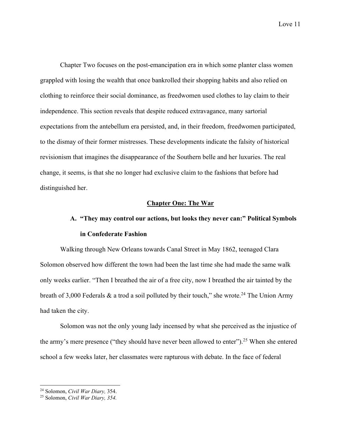Chapter Two focuses on the post-emancipation era in which some planter class women grappled with losing the wealth that once bankrolled their shopping habits and also relied on clothing to reinforce their social dominance, as freedwomen used clothes to lay claim to their independence. This section reveals that despite reduced extravagance, many sartorial expectations from the antebellum era persisted, and, in their freedom, freedwomen participated, to the dismay of their former mistresses. These developments indicate the falsity of historical revisionism that imagines the disappearance of the Southern belle and her luxuries. The real change, it seems, is that she no longer had exclusive claim to the fashions that before had distinguished her.

#### **Chapter One: The War**

# **A. "They may control our actions, but looks they never can:" Political Symbols in Confederate Fashion**

Walking through New Orleans towards Canal Street in May 1862, teenaged Clara Solomon observed how different the town had been the last time she had made the same walk only weeks earlier. "Then I breathed the air of a free city, now I breathed the air tainted by the breath of 3,000 Federals  $\&$  a trod a soil polluted by their touch," she wrote.<sup>24</sup> The Union Army had taken the city.

Solomon was not the only young lady incensed by what she perceived as the injustice of the army's mere presence ("they should have never been allowed to enter").<sup>25</sup> When she entered school a few weeks later, her classmates were rapturous with debate. In the face of federal

<sup>24</sup> Solomon, *Civil War Diary,* 354.

<sup>25</sup> Solomon, *Civil War Diary, 354.*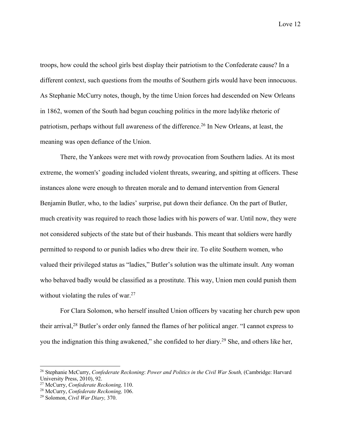troops, how could the school girls best display their patriotism to the Confederate cause? In a different context, such questions from the mouths of Southern girls would have been innocuous. As Stephanie McCurry notes, though, by the time Union forces had descended on New Orleans in 1862, women of the South had begun couching politics in the more ladylike rhetoric of patriotism, perhaps without full awareness of the difference.26 In New Orleans, at least, the meaning was open defiance of the Union.

There, the Yankees were met with rowdy provocation from Southern ladies. At its most extreme, the women's' goading included violent threats, swearing, and spitting at officers. These instances alone were enough to threaten morale and to demand intervention from General Benjamin Butler, who, to the ladies' surprise, put down their defiance. On the part of Butler, much creativity was required to reach those ladies with his powers of war. Until now, they were not considered subjects of the state but of their husbands. This meant that soldiers were hardly permitted to respond to or punish ladies who drew their ire. To elite Southern women, who valued their privileged status as "ladies," Butler's solution was the ultimate insult. Any woman who behaved badly would be classified as a prostitute. This way, Union men could punish them without violating the rules of war. $27$ 

For Clara Solomon, who herself insulted Union officers by vacating her church pew upon their arrival,28 Butler's order only fanned the flames of her political anger. "I cannot express to you the indignation this thing awakened," she confided to her diary.<sup>29</sup> She, and others like her,

<sup>26</sup> Stephanie McCurry, *Confederate Reckoning*: *Power and Politics in the Civil War South,* (Cambridge: Harvard University Press, 2010), 92.<br><sup>27</sup> McCurry, *Confederate Reckoning*, 110.

<sup>&</sup>lt;sup>28</sup> McCurry, *Confederate Reckoning*, 106.<br><sup>29</sup> Solomon, *Civil War Diary*, 370.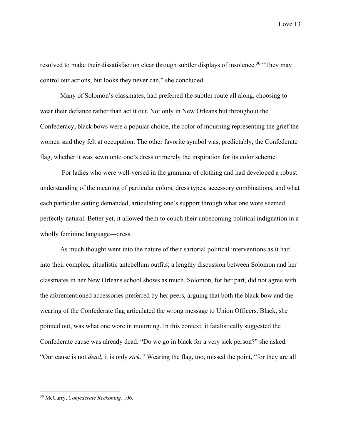resolved to make their dissatisfaction clear through subtler displays of insolence.<sup>30</sup> "They may control our actions, but looks they never can," she concluded.

Many of Solomon's classmates, had preferred the subtler route all along, choosing to wear their defiance rather than act it out. Not only in New Orleans but throughout the Confederacy, black bows were a popular choice, the color of mourning representing the grief the women said they felt at occupation. The other favorite symbol was, predictably, the Confederate flag, whether it was sewn onto one's dress or merely the inspiration for its color scheme.

For ladies who were well-versed in the grammar of clothing and had developed a robust understanding of the meaning of particular colors, dress types, accessory combinations, and what each particular setting demanded, articulating one's support through what one wore seemed perfectly natural. Better yet, it allowed them to couch their unbecoming political indignation in a wholly feminine language—dress.

As much thought went into the nature of their sartorial political interventions as it had into their complex, ritualistic antebellum outfits; a lengthy discussion between Solomon and her classmates in her New Orleans school shows as much. Solomon, for her part, did not agree with the aforementioned accessories preferred by her peers, arguing that both the black bow and the wearing of the Confederate flag articulated the wrong message to Union Officers. Black, she pointed out, was what one wore in mourning. In this context, it fatalistically suggested the Confederate cause was already dead. "Do we go in black for a very sick person?" she asked. "Our cause is not *dead,* it is only *sick."* Wearing the flag, too, missed the point, "for they are all

<sup>30</sup> McCurry, *Confederate Reckoning,* 106.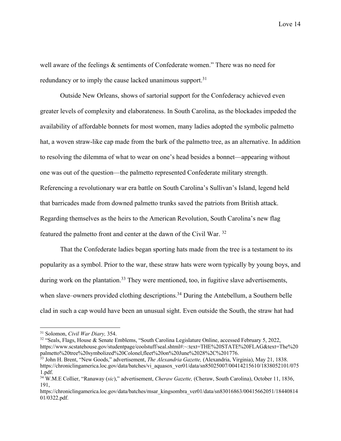well aware of the feelings & sentiments of Confederate women." There was no need for redundancy or to imply the cause lacked unanimous support.<sup>31</sup>

Outside New Orleans, shows of sartorial support for the Confederacy achieved even greater levels of complexity and elaborateness. In South Carolina, as the blockades impeded the availability of affordable bonnets for most women, many ladies adopted the symbolic palmetto hat, a woven straw-like cap made from the bark of the palmetto tree, as an alternative. In addition to resolving the dilemma of what to wear on one's head besides a bonnet—appearing without one was out of the question—the palmetto represented Confederate military strength. Referencing a revolutionary war era battle on South Carolina's Sullivan's Island, legend held that barricades made from downed palmetto trunks saved the patriots from British attack. Regarding themselves as the heirs to the American Revolution, South Carolina's new flag featured the palmetto front and center at the dawn of the Civil War. 32

That the Confederate ladies began sporting hats made from the tree is a testament to its popularity as a symbol. Prior to the war, these straw hats were worn typically by young boys, and during work on the plantation.<sup>33</sup> They were mentioned, too, in fugitive slave advertisements, when slave–owners provided clothing descriptions.<sup>34</sup> During the Antebellum, a Southern belle clad in such a cap would have been an unusual sight. Even outside the South, the straw hat had

<sup>32</sup> "Seals, Flags, House & Senate Emblems, "South Carolina Legislature Online, accessed February 5, 2022, https://www.scstatehouse.gov/studentpage/coolstuff/seal.shtml#:~:text=THE%20STATE%20FLAG&text=The%20<br>palmetto%20tree%20symbolized%20Colonel,fleet%20on%20June%2028%2C%201776.

<sup>31</sup> Solomon, *Civil War Diary,* 354.

<sup>&</sup>lt;sup>33</sup> John H. Brent, "New Goods," advertisement, *The Alexandria Gazette*, (Alexandria, Virginia), May 21, 1838. https://chroniclingamerica.loc.gov/data/batches/vi\_aquasox\_ver01/data/sn85025007/00414215610/1838052101/075 1.pdf.

<sup>34</sup> W.M.E Collier, "Ranaway (*sic*)," advertisement, *Cheraw Gazette,* (Cheraw, South Carolina), October 11, 1836, 191,

https://chroniclingamerica.loc.gov/data/batches/msar\_kingsombra\_ver01/data/sn83016863/00415662051/18440814 01/0322.pdf.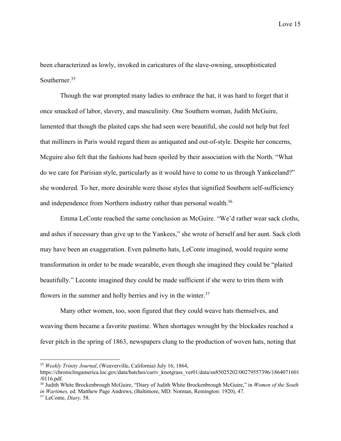been characterized as lowly, invoked in caricatures of the slave-owning, unsophisticated Southerner.<sup>35</sup>

Though the war prompted many ladies to embrace the hat, it was hard to forget that it once smacked of labor, slavery, and masculinity. One Southern woman, Judith McGuire, lamented that though the plaited caps she had seen were beautiful, she could not help but feel that milliners in Paris would regard them as antiquated and out-of-style. Despite her concerns, Mcguire also felt that the fashions had been spoiled by their association with the North. "What do we care for Parisian style, particularly as it would have to come to us through Yankeeland?" she wondered. To her, more desirable were those styles that signified Southern self-sufficiency and independence from Northern industry rather than personal wealth.<sup>36</sup>

Emma LeConte reached the same conclusion as McGuire. "We'd rather wear sack cloths, and ashes if necessary than give up to the Yankees," she wrote of herself and her aunt. Sack cloth may have been an exaggeration. Even palmetto hats, LeConte imagined, would require some transformation in order to be made wearable, even though she imagined they could be "plaited beautifully." Leconte imagined they could be made sufficient if she were to trim them with flowers in the summer and holly berries and ivy in the winter.<sup>37</sup>

Many other women, too, soon figured that they could weave hats themselves, and weaving them became a favorite pastime. When shortages wrought by the blockades reached a fever pitch in the spring of 1863, newspapers clung to the production of woven hats, noting that

<sup>35</sup> *Weekly Trinity Journal*, (Weaverville, California) July 16, 1864,

https://chroniclingamerica.loc.gov/data/batches/curiv\_knotgrass\_ver01/data/sn85025202/00279557396/1864071601 /0116.pdf.

<sup>36</sup> Judith White Brockenbrough McGuire, "Diary of Judith White Brockenbrough McGuire," in *Women of the South in Wartimes,* ed. Matthew Page Andrews, (Baltimore, MD: Norman, Remington: 1920), 47. 37 LeConte, *Diary,* 58.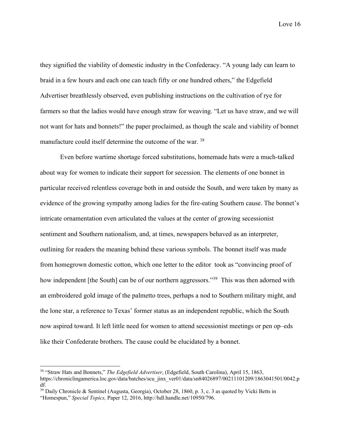they signified the viability of domestic industry in the Confederacy. "A young lady can learn to braid in a few hours and each one can teach fifty or one hundred others," the Edgefield Advertiser breathlessly observed, even publishing instructions on the cultivation of rye for farmers so that the ladies would have enough straw for weaving. "Let us have straw, and we will not want for hats and bonnets!" the paper proclaimed, as though the scale and viability of bonnet manufacture could itself determine the outcome of the war. 38

Even before wartime shortage forced substitutions, homemade hats were a much-talked about way for women to indicate their support for secession. The elements of one bonnet in particular received relentless coverage both in and outside the South, and were taken by many as evidence of the growing sympathy among ladies for the fire-eating Southern cause. The bonnet's intricate ornamentation even articulated the values at the center of growing secessionist sentiment and Southern nationalism, and, at times, newspapers behaved as an interpreter, outlining for readers the meaning behind these various symbols. The bonnet itself was made from homegrown domestic cotton, which one letter to the editor took as "convincing proof of how independent [the South] can be of our northern aggressors."<sup>39</sup> This was then adorned with an embroidered gold image of the palmetto trees, perhaps a nod to Southern military might, and the lone star, a reference to Texas' former status as an independent republic, which the South now aspired toward. It left little need for women to attend secessionist meetings or pen op–eds like their Confederate brothers. The cause could be elucidated by a bonnet.

<sup>38</sup> "Straw Hats and Bonnets," *The Edgefield Advertiser*, (Edgefield, South Carolina), April 15, 1863, https://chroniclingamerica.loc.gov/data/batches/scu\_jinx\_ver01/data/sn84026897/00211101209/1863041501/0042.p df.<br><sup>39</sup> Daily Chronicle & Sentinel (Augusta, Georgia), October 28, 1860, p. 3, c. 3 as quoted by Vicki Betts in

<sup>&</sup>quot;Homespun," *Special Topics,* Paper 12, 2016, http://hdl.handle.net/10950/796.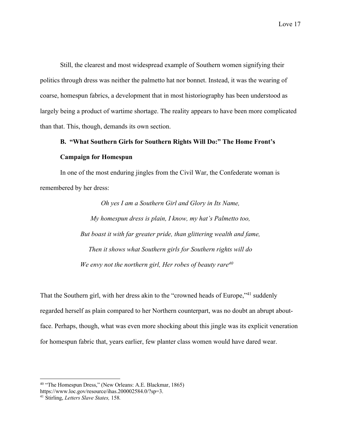Still, the clearest and most widespread example of Southern women signifying their politics through dress was neither the palmetto hat nor bonnet. Instead, it was the wearing of coarse, homespun fabrics, a development that in most historiography has been understood as largely being a product of wartime shortage. The reality appears to have been more complicated than that. This, though, demands its own section.

# **B. "What Southern Girls for Southern Rights Will Do:" The Home Front's Campaign for Homespun**

In one of the most enduring jingles from the Civil War, the Confederate woman is remembered by her dress:

> *Oh yes I am a Southern Girl and Glory in Its Name, My homespun dress is plain, I know, my hat's Palmetto too, But boast it with far greater pride, than glittering wealth and fame, Then it shows what Southern girls for Southern rights will do We envy not the northern girl, Her robes of beauty rare40*

That the Southern girl, with her dress akin to the "crowned heads of Europe,"<sup>41</sup> suddenly regarded herself as plain compared to her Northern counterpart, was no doubt an abrupt aboutface. Perhaps, though, what was even more shocking about this jingle was its explicit veneration for homespun fabric that, years earlier, few planter class women would have dared wear.

<sup>40</sup> "The Homespun Dress," (New Orleans: A.E. Blackmar, 1865) https://www.loc.gov/resource/ihas.200002584.0/?sp=3.

<sup>41</sup> Stirling, *Letters Slave States,* 158*.*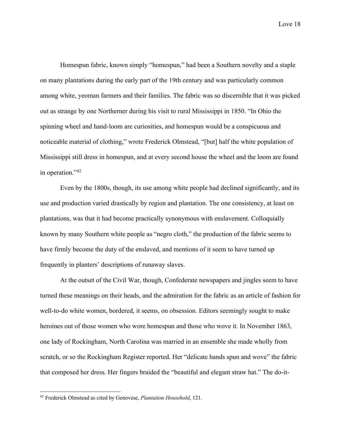Homespun fabric, known simply "homespun," had been a Southern novelty and a staple on many plantations during the early part of the 19th century and was particularly common among white, yeoman farmers and their families. The fabric was so discernible that it was picked out as strange by one Northerner during his visit to rural Mississippi in 1850. "In Ohio the spinning wheel and hand-loom are curiosities, and homespun would be a conspicuous and noticeable material of clothing," wrote Frederick Olmstead, "[but] half the white population of Mississippi still dress in homespun, and at every second house the wheel and the loom are found in operation."42

Even by the 1800s, though, its use among white people had declined significantly, and its use and production varied drastically by region and plantation. The one consistency, at least on plantations, was that it had become practically synonymous with enslavement. Colloquially known by many Southern white people as "negro cloth," the production of the fabric seems to have firmly become the duty of the enslaved, and mentions of it seem to have turned up frequently in planters' descriptions of runaway slaves.

At the outset of the Civil War, though, Confederate newspapers and jingles seem to have turned these meanings on their heads, and the admiration for the fabric as an article of fashion for well-to-do white women, bordered, it seems, on obsession. Editors seemingly sought to make heroines out of those women who wore homespun and those who wove it. In November 1863, one lady of Rockingham, North Carolina was married in an ensemble she made wholly from scratch, or so the Rockingham Register reported. Her "delicate hands spun and wove" the fabric that composed her dress. Her fingers braided the "beautiful and elegant straw hat." The do-it-

<sup>42</sup> Frederick Olmstead as cited by Genovese, *Plantation Household*, 121.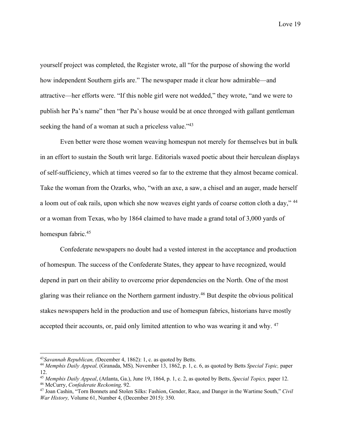yourself project was completed, the Register wrote, all "for the purpose of showing the world how independent Southern girls are." The newspaper made it clear how admirable—and attractive—her efforts were. "If this noble girl were not wedded," they wrote, "and we were to publish her Pa's name" then "her Pa's house would be at once thronged with gallant gentleman seeking the hand of a woman at such a priceless value."<sup>43</sup>

Even better were those women weaving homespun not merely for themselves but in bulk in an effort to sustain the South writ large. Editorials waxed poetic about their herculean displays of self-sufficiency, which at times veered so far to the extreme that they almost became comical. Take the woman from the Ozarks, who, "with an axe, a saw, a chisel and an auger, made herself a loom out of oak rails, upon which she now weaves eight yards of coarse cotton cloth a day," 44 or a woman from Texas, who by 1864 claimed to have made a grand total of 3,000 yards of homespun fabric.45

Confederate newspapers no doubt had a vested interest in the acceptance and production of homespun. The success of the Confederate States, they appear to have recognized, would depend in part on their ability to overcome prior dependencies on the North. One of the most glaring was their reliance on the Northern garment industry.46 But despite the obvious political stakes newspapers held in the production and use of homespun fabrics, historians have mostly accepted their accounts, or, paid only limited attention to who was wearing it and why. <sup>47</sup>

<sup>43</sup>*Savannah Republican, (*December 4, 1862): 1, c. as quoted by Betts. 44 *Memphis Daily Appeal,* (Granada, MS)*,* November 13, 1862, p. 1, c. 6, as quoted by Betts *Special Topic,* paper 12.

<sup>45</sup> *Memphis Daily Appeal*, (Atlanta, Ga.), June 19, 1864, p. 1, c. 2, as quoted by Betts, *Special Topics,* paper 12. 46 McCurry, *Confederate Reckoning,* 92.

<sup>47</sup> Joan Cashin, "Torn Bonnets and Stolen Silks: Fashion, Gender, Race, and Danger in the Wartime South," *Civil War History,* Volume 61, Number 4, (December 2015): 350.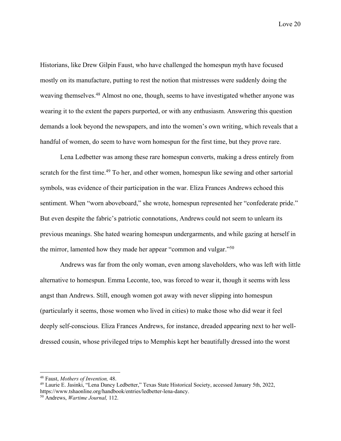Historians, like Drew Gilpin Faust, who have challenged the homespun myth have focused mostly on its manufacture, putting to rest the notion that mistresses were suddenly doing the weaving themselves.<sup>48</sup> Almost no one, though, seems to have investigated whether anyone was wearing it to the extent the papers purported, or with any enthusiasm. Answering this question demands a look beyond the newspapers, and into the women's own writing, which reveals that a handful of women, do seem to have worn homespun for the first time, but they prove rare.

Lena Ledbetter was among these rare homespun converts, making a dress entirely from scratch for the first time.<sup>49</sup> To her, and other women, homespun like sewing and other sartorial symbols, was evidence of their participation in the war. Eliza Frances Andrews echoed this sentiment. When "worn aboveboard," she wrote, homespun represented her "confederate pride." But even despite the fabric's patriotic connotations, Andrews could not seem to unlearn its previous meanings. She hated wearing homespun undergarments, and while gazing at herself in the mirror, lamented how they made her appear "common and vulgar."50

Andrews was far from the only woman, even among slaveholders, who was left with little alternative to homespun. Emma Leconte, too, was forced to wear it, though it seems with less angst than Andrews. Still, enough women got away with never slipping into homespun (particularly it seems, those women who lived in cities) to make those who did wear it feel deeply self-conscious. Eliza Frances Andrews, for instance, dreaded appearing next to her welldressed cousin, whose privileged trips to Memphis kept her beautifully dressed into the worst

<sup>&</sup>lt;sup>48</sup> Faust, *Mothers of Invention*, 48.<br><sup>49</sup> Laurie E. Jasinki, "Lena Dancy Ledbetter," Texas State Historical Society, accessed January 5th, 2022, https://www.tshaonline.org/handbook/entries/ledbetter-lena-dancy. 50 Andrews, *Wartime Journal,* 112.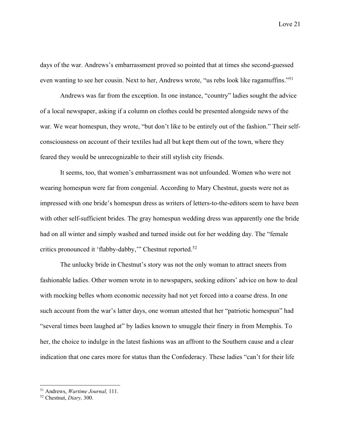days of the war. Andrews's embarrassment proved so pointed that at times she second-guessed even wanting to see her cousin. Next to her, Andrews wrote, "us rebs look like ragamuffins."51

Andrews was far from the exception. In one instance, "country" ladies sought the advice of a local newspaper, asking if a column on clothes could be presented alongside news of the war. We wear homespun, they wrote, "but don't like to be entirely out of the fashion." Their selfconsciousness on account of their textiles had all but kept them out of the town, where they feared they would be unrecognizable to their still stylish city friends.

It seems, too, that women's embarrassment was not unfounded. Women who were not wearing homespun were far from congenial. According to Mary Chestnut, guests were not as impressed with one bride's homespun dress as writers of letters-to-the-editors seem to have been with other self-sufficient brides. The gray homespun wedding dress was apparently one the bride had on all winter and simply washed and turned inside out for her wedding day. The "female critics pronounced it 'flabby-dabby,'" Chestnut reported.52

The unlucky bride in Chestnut's story was not the only woman to attract sneers from fashionable ladies. Other women wrote in to newspapers, seeking editors' advice on how to deal with mocking belles whom economic necessity had not yet forced into a coarse dress. In one such account from the war's latter days, one woman attested that her "patriotic homespun" had "several times been laughed at" by ladies known to smuggle their finery in from Memphis. To her, the choice to indulge in the latest fashions was an affront to the Southern cause and a clear indication that one cares more for status than the Confederacy. These ladies "can't for their life

<sup>51</sup> Andrews, *Wartime Journal,* 111.

<sup>52</sup> Chestnut, *Diary,* 300.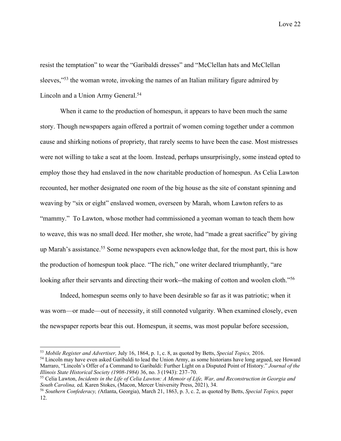resist the temptation" to wear the "Garibaldi dresses" and "McClellan hats and McClellan sleeves,"<sup>53</sup> the woman wrote, invoking the names of an Italian military figure admired by Lincoln and a Union Army General.<sup>54</sup>

When it came to the production of homespun, it appears to have been much the same story. Though newspapers again offered a portrait of women coming together under a common cause and shirking notions of propriety, that rarely seems to have been the case. Most mistresses were not willing to take a seat at the loom. Instead, perhaps unsurprisingly, some instead opted to employ those they had enslaved in the now charitable production of homespun. As Celia Lawton recounted, her mother designated one room of the big house as the site of constant spinning and weaving by "six or eight" enslaved women, overseen by Marah, whom Lawton refers to as "mammy." To Lawton, whose mother had commissioned a yeoman woman to teach them how to weave, this was no small deed. Her mother, she wrote, had "made a great sacrifice" by giving up Marah's assistance.<sup>55</sup> Some newspapers even acknowledge that, for the most part, this is how the production of homespun took place. "The rich," one writer declared triumphantly, "are looking after their servants and directing their work--the making of cotton and woolen cloth."<sup>56</sup>

Indeed, homespun seems only to have been desirable so far as it was patriotic; when it was worn—or made—out of necessity, it still connoted vulgarity. When examined closely, even the newspaper reports bear this out. Homespun, it seems, was most popular before secession,

 $53$  Mobile Register and Advertiser, July 16, 1864, p. 1, c. 8, as quoted by Betts, *Special Topics*, 2016.<br><sup>54</sup> Lincoln may have even asked Garibaldi to lead the Union Army, as some historians have long argued, see Howar

Marraro, "Lincoln's Offer of a Command to Garibaldi: Further Light on a Disputed Point of History." *Journal of the Illinois State Historical Society (1908-1984)* 36, no. 3 (1943): 237–70.

<sup>55</sup> Celia Lawton, *Incidents in the Life of Celia Lawton: A Memoir of Life, War, and Reconstruction in Georgia and South Carolina, ed. Karen Stokes, (Macon, Mercer University Press, 2021), 34. Southern Confederacy, (Atlanta, Georgia), March 21, 1863, p. 3, c. 2, as quoted by Betts, <i>Special Topics, paper* 

<sup>12.</sup>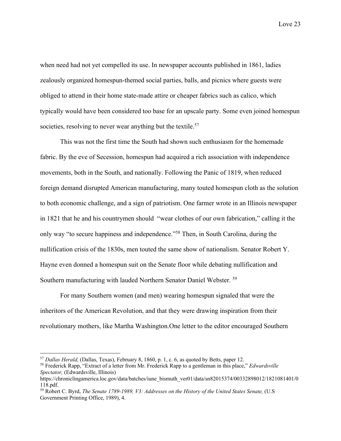when need had not yet compelled its use. In newspaper accounts published in 1861, ladies zealously organized homespun-themed social parties, balls, and picnics where guests were obliged to attend in their home state-made attire or cheaper fabrics such as calico, which typically would have been considered too base for an upscale party. Some even joined homespun societies, resolving to never wear anything but the textile.<sup>57</sup>

This was not the first time the South had shown such enthusiasm for the homemade fabric. By the eve of Secession, homespun had acquired a rich association with independence movements, both in the South, and nationally. Following the Panic of 1819, when reduced foreign demand disrupted American manufacturing, many touted homespun cloth as the solution to both economic challenge, and a sign of patriotism. One farmer wrote in an Illinois newspaper in 1821 that he and his countrymen should "wear clothes of our own fabrication," calling it the only way "to secure happiness and independence."58 Then, in South Carolina, during the nullification crisis of the 1830s, men touted the same show of nationalism. Senator Robert Y. Hayne even donned a homespun suit on the Senate floor while debating nullification and Southern manufacturing with lauded Northern Senator Daniel Webster. 59

For many Southern women (and men) wearing homespun signaled that were the inheritors of the American Revolution, and that they were drawing inspiration from their revolutionary mothers, like Martha Washington.One letter to the editor encouraged Southern

<sup>57</sup> *Dallas Herald,* (Dallas, Texas), February 8, 1860, p. 1, c. 6, as quoted by Betts, paper 12.

<sup>58</sup> Frederick Rapp, "Extract of a letter from Mr. Frederick Rapp to a gentleman in this place," *Edwardsville Spectator,* (Edwardsville, Illinois)

https://chroniclingamerica.loc.gov/data/batches/iune\_bismuth\_ver01/data/sn82015374/00332898012/1821081401/0 118.pdf.

<sup>59</sup> Robert C. Byrd, *The Senate 1789-1989, V3: Addresses on the History of the United States Senate,* (U.S Government Printing Office, 1989), 4.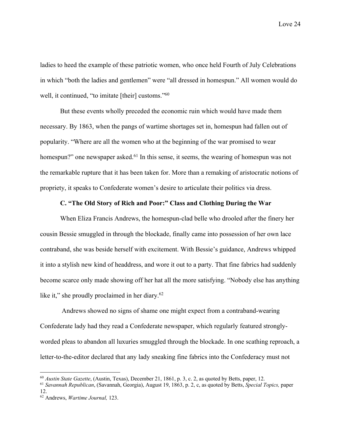ladies to heed the example of these patriotic women, who once held Fourth of July Celebrations in which "both the ladies and gentlemen" were "all dressed in homespun." All women would do well, it continued, "to imitate [their] customs."<sup>60</sup>

But these events wholly preceded the economic ruin which would have made them necessary. By 1863, when the pangs of wartime shortages set in, homespun had fallen out of popularity. "Where are all the women who at the beginning of the war promised to wear homespun?" one newspaper asked.<sup>61</sup> In this sense, it seems, the wearing of homespun was not the remarkable rupture that it has been taken for. More than a remaking of aristocratic notions of propriety, it speaks to Confederate women's desire to articulate their politics via dress.

### **C. "The Old Story of Rich and Poor:" Class and Clothing During the War**

When Eliza Francis Andrews, the homespun-clad belle who drooled after the finery her cousin Bessie smuggled in through the blockade, finally came into possession of her own lace contraband, she was beside herself with excitement. With Bessie's guidance, Andrews whipped it into a stylish new kind of headdress, and wore it out to a party. That fine fabrics had suddenly become scarce only made showing off her hat all the more satisfying. "Nobody else has anything like it," she proudly proclaimed in her diary.<sup>62</sup>

Andrews showed no signs of shame one might expect from a contraband-wearing Confederate lady had they read a Confederate newspaper, which regularly featured stronglyworded pleas to abandon all luxuries smuggled through the blockade. In one scathing reproach, a letter-to-the-editor declared that any lady sneaking fine fabrics into the Confederacy must not

<sup>60</sup> *Austin State Gazette*, (Austin, Texas), December 21, 1861, p. 3, c. 2, as quoted by Betts, paper, 12.

<sup>61</sup> *Savannah Republican*, (Savannah, Georgia), August 19, 1863, p. 2, c, as quoted by Betts, *Special Topics,* paper 12.

<sup>62</sup> Andrews, *Wartime Journal,* 123.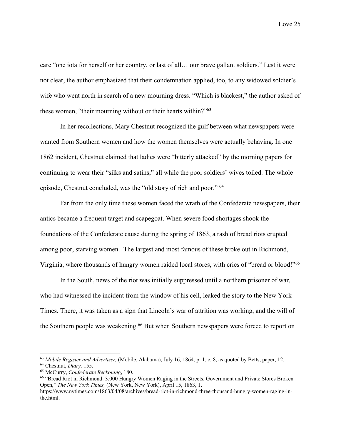care "one iota for herself or her country, or last of all… our brave gallant soldiers." Lest it were not clear, the author emphasized that their condemnation applied, too, to any widowed soldier's wife who went north in search of a new mourning dress. "Which is blackest," the author asked of these women, "their mourning without or their hearts within?"63

In her recollections, Mary Chestnut recognized the gulf between what newspapers were wanted from Southern women and how the women themselves were actually behaving. In one 1862 incident, Chestnut claimed that ladies were "bitterly attacked" by the morning papers for continuing to wear their "silks and satins," all while the poor soldiers' wives toiled. The whole episode, Chestnut concluded, was the "old story of rich and poor." 64

Far from the only time these women faced the wrath of the Confederate newspapers, their antics became a frequent target and scapegoat. When severe food shortages shook the foundations of the Confederate cause during the spring of 1863, a rash of bread riots erupted among poor, starving women. The largest and most famous of these broke out in Richmond, Virginia, where thousands of hungry women raided local stores, with cries of "bread or blood!"<sup>65</sup>

In the South, news of the riot was initially suppressed until a northern prisoner of war, who had witnessed the incident from the window of his cell, leaked the story to the New York Times. There, it was taken as a sign that Lincoln's war of attrition was working, and the will of the Southern people was weakening.<sup>66</sup> But when Southern newspapers were forced to report on

<sup>63</sup> *Mobile Register and Advertiser,* (Mobile, Alabama), July 16, 1864, p. 1, c. 8, as quoted by Betts, paper, 12. <sup>64</sup> Chestnut, *Diary,* 155.

<sup>&</sup>lt;sup>65</sup> McCurry, *Confederate Reckoning*, 180.<br><sup>66</sup> "Bread Riot in Richmond: 3,000 Hungry Women Raging in the Streets. Government and Private Stores Broken Open," *The New York Times,* (New York, New York), April 15, 1863, 1,

https://www.nytimes.com/1863/04/08/archives/bread-riot-in-richmond-three-thousand-hungry-women-raging-inthe.html.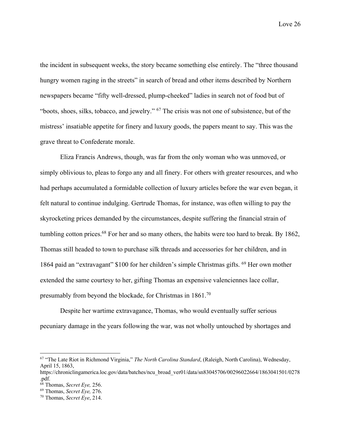the incident in subsequent weeks, the story became something else entirely. The "three thousand hungry women raging in the streets" in search of bread and other items described by Northern newspapers became "fifty well-dressed, plump-cheeked" ladies in search not of food but of "boots, shoes, silks, tobacco, and jewelry." 67 The crisis was not one of subsistence, but of the mistress' insatiable appetite for finery and luxury goods, the papers meant to say. This was the grave threat to Confederate morale.

Eliza Francis Andrews, though, was far from the only woman who was unmoved, or simply oblivious to, pleas to forgo any and all finery. For others with greater resources, and who had perhaps accumulated a formidable collection of luxury articles before the war even began, it felt natural to continue indulging. Gertrude Thomas, for instance, was often willing to pay the skyrocketing prices demanded by the circumstances, despite suffering the financial strain of tumbling cotton prices.<sup>68</sup> For her and so many others, the habits were too hard to break. By 1862, Thomas still headed to town to purchase silk threads and accessories for her children, and in 1864 paid an "extravagant" \$100 for her children's simple Christmas gifts. 69 Her own mother extended the same courtesy to her, gifting Thomas an expensive valenciennes lace collar, presumably from beyond the blockade, for Christmas in 1861.70

Despite her wartime extravagance, Thomas, who would eventually suffer serious pecuniary damage in the years following the war, was not wholly untouched by shortages and

<sup>67</sup> "The Late Riot in Richmond Virginia," *The North Carolina Standard*, (Raleigh, North Carolina), Wednesday, April 15, 1863,

https://chroniclingamerica.loc.gov/data/batches/ncu\_broad\_ver01/data/sn83045706/00296022664/1863041501/0278 .pdf.

<sup>68</sup> Thomas, *Secret Eye,* 256. 69 Thomas, *Secret Eye,* 276.

<sup>70</sup> Thomas, *Secret Eye*, 214.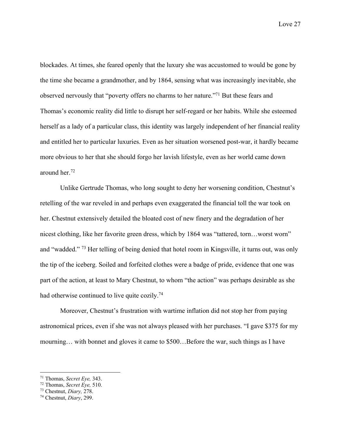blockades. At times, she feared openly that the luxury she was accustomed to would be gone by the time she became a grandmother, and by 1864, sensing what was increasingly inevitable, she observed nervously that "poverty offers no charms to her nature."71 But these fears and Thomas's economic reality did little to disrupt her self-regard or her habits. While she esteemed herself as a lady of a particular class, this identity was largely independent of her financial reality and entitled her to particular luxuries. Even as her situation worsened post-war, it hardly became more obvious to her that she should forgo her lavish lifestyle, even as her world came down around her.72

Unlike Gertrude Thomas, who long sought to deny her worsening condition, Chestnut's retelling of the war reveled in and perhaps even exaggerated the financial toll the war took on her. Chestnut extensively detailed the bloated cost of new finery and the degradation of her nicest clothing, like her favorite green dress, which by 1864 was "tattered, torn…worst worn" and "wadded." 73 Her telling of being denied that hotel room in Kingsville, it turns out, was only the tip of the iceberg. Soiled and forfeited clothes were a badge of pride, evidence that one was part of the action, at least to Mary Chestnut, to whom "the action" was perhaps desirable as she had otherwise continued to live quite cozily.<sup>74</sup>

Moreover, Chestnut's frustration with wartime inflation did not stop her from paying astronomical prices, even if she was not always pleased with her purchases. "I gave \$375 for my mourning… with bonnet and gloves it came to \$500…Before the war, such things as I have

<sup>71</sup> Thomas, *Secret Eye,* 343. 72 Thomas, *Secret Eye,* 510. 73 Chestnut, *Diary,* 278.

<sup>74</sup> Chestnut, *Diary*, 299.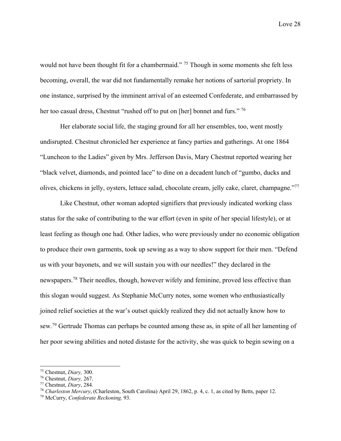would not have been thought fit for a chambermaid." <sup>75</sup> Though in some moments she felt less becoming, overall, the war did not fundamentally remake her notions of sartorial propriety. In one instance, surprised by the imminent arrival of an esteemed Confederate, and embarrassed by her too casual dress, Chestnut "rushed off to put on [her] bonnet and furs." 76

Her elaborate social life, the staging ground for all her ensembles, too, went mostly undisrupted. Chestnut chronicled her experience at fancy parties and gatherings. At one 1864 "Luncheon to the Ladies" given by Mrs. Jefferson Davis, Mary Chestnut reported wearing her "black velvet, diamonds, and pointed lace" to dine on a decadent lunch of "gumbo, ducks and olives, chickens in jelly, oysters, lettuce salad, chocolate cream, jelly cake, claret, champagne."77

Like Chestnut, other woman adopted signifiers that previously indicated working class status for the sake of contributing to the war effort (even in spite of her special lifestyle), or at least feeling as though one had. Other ladies, who were previously under no economic obligation to produce their own garments, took up sewing as a way to show support for their men. "Defend us with your bayonets, and we will sustain you with our needles!" they declared in the newspapers.78 Their needles, though, however wifely and feminine, proved less effective than this slogan would suggest. As Stephanie McCurry notes, some women who enthusiastically joined relief societies at the war's outset quickly realized they did not actually know how to sew.79 Gertrude Thomas can perhaps be counted among these as, in spite of all her lamenting of her poor sewing abilities and noted distaste for the activity, she was quick to begin sewing on a

<sup>75</sup> Chestnut, *Diary,* 300.

<sup>76</sup> Chestnut, *Diary,* 267.

<sup>&</sup>lt;sup>78</sup> Charleston Mercury, (Charleston, South Carolina) April 29, 1862, p. 4, c. 1, as cited by Betts, paper 12.

<sup>79</sup> McCurry, *Confederate Reckoning,* 93.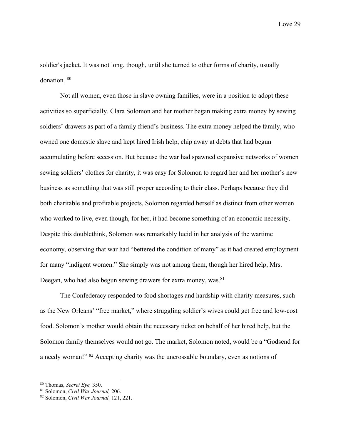soldier's jacket. It was not long, though, until she turned to other forms of charity, usually donation. 80

Not all women, even those in slave owning families, were in a position to adopt these activities so superficially. Clara Solomon and her mother began making extra money by sewing soldiers' drawers as part of a family friend's business. The extra money helped the family, who owned one domestic slave and kept hired Irish help, chip away at debts that had begun accumulating before secession. But because the war had spawned expansive networks of women sewing soldiers' clothes for charity, it was easy for Solomon to regard her and her mother's new business as something that was still proper according to their class. Perhaps because they did both charitable and profitable projects, Solomon regarded herself as distinct from other women who worked to live, even though, for her, it had become something of an economic necessity. Despite this doublethink, Solomon was remarkably lucid in her analysis of the wartime economy, observing that war had "bettered the condition of many" as it had created employment for many "indigent women." She simply was not among them, though her hired help, Mrs. Deegan, who had also begun sewing drawers for extra money, was.<sup>81</sup>

The Confederacy responded to food shortages and hardship with charity measures, such as the New Orleans' "free market," where struggling soldier's wives could get free and low-cost food. Solomon's mother would obtain the necessary ticket on behalf of her hired help, but the Solomon family themselves would not go. The market, Solomon noted, would be a "Godsend for a needy woman!" 82 Accepting charity was the uncrossable boundary, even as notions of

<sup>80</sup> Thomas, *Secret Eye,* 350. 81 Solomon, *Civil War Journal,* 206.

<sup>82</sup> Solomon, *Civil War Journal,* 121, 221.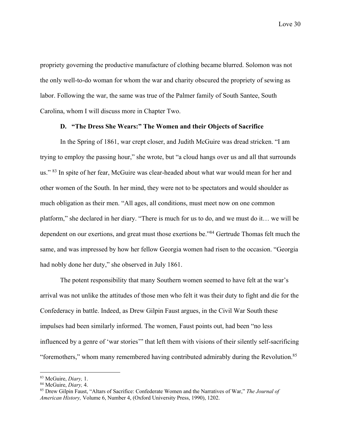propriety governing the productive manufacture of clothing became blurred. Solomon was not the only well-to-do woman for whom the war and charity obscured the propriety of sewing as labor. Following the war, the same was true of the Palmer family of South Santee, South Carolina, whom I will discuss more in Chapter Two.

### **D. "The Dress She Wears:" The Women and their Objects of Sacrifice**

In the Spring of 1861, war crept closer, and Judith McGuire was dread stricken. "I am trying to employ the passing hour," she wrote, but "a cloud hangs over us and all that surrounds us." 83 In spite of her fear, McGuire was clear-headed about what war would mean for her and other women of the South. In her mind, they were not to be spectators and would shoulder as much obligation as their men. "All ages, all conditions, must meet now on one common platform," she declared in her diary. "There is much for us to do, and we must do it… we will be dependent on our exertions, and great must those exertions be."84 Gertrude Thomas felt much the same, and was impressed by how her fellow Georgia women had risen to the occasion. "Georgia had nobly done her duty," she observed in July 1861.

The potent responsibility that many Southern women seemed to have felt at the war's arrival was not unlike the attitudes of those men who felt it was their duty to fight and die for the Confederacy in battle. Indeed, as Drew Gilpin Faust argues, in the Civil War South these impulses had been similarly informed. The women, Faust points out, had been "no less influenced by a genre of 'war stories'" that left them with visions of their silently self-sacrificing "foremothers," whom many remembered having contributed admirably during the Revolution.85

<sup>&</sup>lt;sup>83</sup> McGuire, *Diary*, 1.<br><sup>84</sup> McGuire, *Diary*, 4.<br><sup>85</sup> Drew Gilpin Faust, "Altars of Sacrifice: Confederate Women and the Narratives of War," *The Journal of American History,* Volume 6, Number 4, (Oxford University Press, 1990), 1202.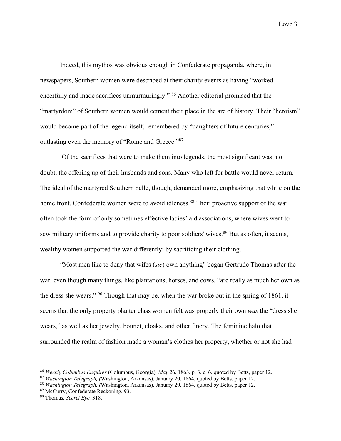Indeed, this mythos was obvious enough in Confederate propaganda, where, in newspapers, Southern women were described at their charity events as having "worked cheerfully and made sacrifices unmurmuringly." 86 Another editorial promised that the "martyrdom" of Southern women would cement their place in the arc of history. Their "heroism" would become part of the legend itself, remembered by "daughters of future centuries," outlasting even the memory of "Rome and Greece."87

Of the sacrifices that were to make them into legends, the most significant was, no doubt, the offering up of their husbands and sons. Many who left for battle would never return. The ideal of the martyred Southern belle, though, demanded more, emphasizing that while on the home front, Confederate women were to avoid idleness.<sup>88</sup> Their proactive support of the war often took the form of only sometimes effective ladies' aid associations, where wives went to sew military uniforms and to provide charity to poor soldiers' wives.<sup>89</sup> But as often, it seems, wealthy women supported the war differently: by sacrificing their clothing.

"Most men like to deny that wifes (*sic*) own anything" began Gertrude Thomas after the war, even though many things, like plantations, horses, and cows, "are really as much her own as the dress she wears." <sup>90</sup> Though that may be, when the war broke out in the spring of 1861, it seems that the only property planter class women felt was properly their own *was* the "dress she wears," as well as her jewelry, bonnet, cloaks, and other finery. The feminine halo that surrounded the realm of fashion made a woman's clothes her property, whether or not she had

<sup>86</sup> *Weekly Columbus Enquirer* (Columbus, Georgia)*, May* 26, 1863, p. 3, c. 6, quoted by Betts, paper 12.

<sup>87</sup> *Washington Telegraph, (*Washington, Arkansas), January 20, 1864, quoted by Betts, paper 12. 88 *Washington Telegraph, (*Washington, Arkansas), January 20, 1864, quoted by Betts, paper 12.

<sup>89</sup> McCurry, Confederate Reckoning, 93.

<sup>90</sup> Thomas, *Secret Eye,* 318.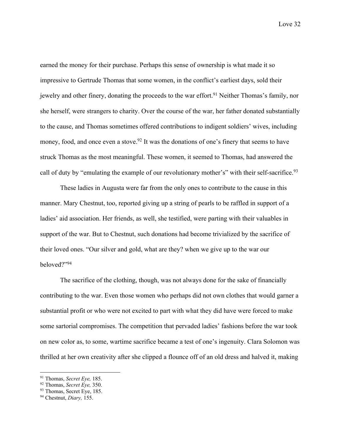earned the money for their purchase. Perhaps this sense of ownership is what made it so impressive to Gertrude Thomas that some women, in the conflict's earliest days, sold their jewelry and other finery, donating the proceeds to the war effort.<sup>91</sup> Neither Thomas's family, nor she herself, were strangers to charity. Over the course of the war, her father donated substantially to the cause, and Thomas sometimes offered contributions to indigent soldiers' wives, including money, food, and once even a stove.<sup>92</sup> It was the donations of one's finery that seems to have struck Thomas as the most meaningful. These women, it seemed to Thomas, had answered the call of duty by "emulating the example of our revolutionary mother's" with their self-sacrifice.<sup>93</sup>

These ladies in Augusta were far from the only ones to contribute to the cause in this manner. Mary Chestnut, too, reported giving up a string of pearls to be raffled in support of a ladies' aid association. Her friends, as well, she testified, were parting with their valuables in support of the war. But to Chestnut, such donations had become trivialized by the sacrifice of their loved ones. "Our silver and gold, what are they? when we give up to the war our beloved?"94

The sacrifice of the clothing, though, was not always done for the sake of financially contributing to the war. Even those women who perhaps did not own clothes that would garner a substantial profit or who were not excited to part with what they did have were forced to make some sartorial compromises. The competition that pervaded ladies' fashions before the war took on new color as, to some, wartime sacrifice became a test of one's ingenuity. Clara Solomon was thrilled at her own creativity after she clipped a flounce off of an old dress and halved it, making

<sup>91</sup> Thomas, *Secret Eye,* 185.

<sup>92</sup> Thomas, *Secret Eye,* 350.

<sup>&</sup>lt;sup>93</sup> Thomas, Secret Eye, 185.

<sup>94</sup> Chestnut, *Diary,* 155.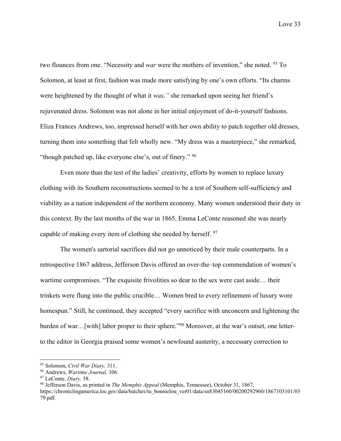two flounces from one. "Necessity and *war* were the mothers of invention," she noted. 95 To Solomon, at least at first, fashion was made more satisfying by one's own efforts. "Its charms were heightened by the thought of what it *was,"* she remarked upon seeing her friend's rejuvenated dress. Solomon was not alone in her initial enjoyment of do-it-yourself fashions. Eliza Frances Andrews, too, impressed herself with her own ability to patch together old dresses, turning them into something that felt wholly new. "My dress was a masterpiece," she remarked, "though patched up, like everyone else's, out of finery." <sup>96</sup>

Even more than the test of the ladies' creativity, efforts by women to replace luxury clothing with its Southern reconstructions seemed to be a test of Southern self-sufficiency and viability as a nation independent of the northern economy. Many women understood their duty in this context. By the last months of the war in 1865, Emma LeConte reasoned she was nearly capable of making every item of clothing she needed by herself. 97

The women's sartorial sacrifices did not go unnoticed by their male counterparts. In a retrospective 1867 address, Jefferson Davis offered an over-the–top commendation of women's wartime compromises. "The exquisite frivolities so dear to the sex were cast aside… their trinkets were flung into the public crucible… Women bred to every refinement of luxury wore homespun." Still, he continued, they accepted "every sacrifice with unconcern and lightening the burden of war...[with] labor proper to their sphere."<sup>98</sup> Moreover, at the war's outset, one letterto the editor in Georgia praised some women's newfound austerity, a necessary correction to

<sup>&</sup>lt;sup>95</sup> Solomon, *Civil War Diary*, 311.<br><sup>96</sup> Andrews, *Wartime Journal*, 106.<br><sup>97</sup> LeConte, *Diary*, 58.

<sup>&</sup>lt;sup>98</sup> Jefferson Davis, as printed in *The Memphis Appeal* (Memphis, Tennessee), October 31, 1867, https://chroniclingamerica.loc.gov/data/batches/tu\_bonnielou\_ver01/data/sn83045160/00200292960/1867103101/03 79.pdf.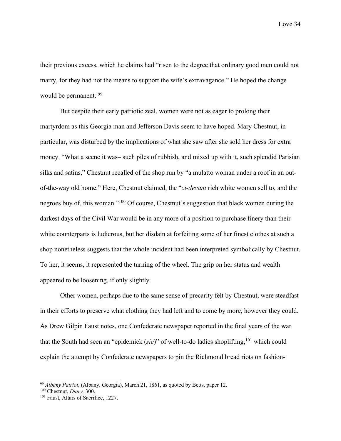their previous excess, which he claims had "risen to the degree that ordinary good men could not marry, for they had not the means to support the wife's extravagance." He hoped the change would be permanent. 99

But despite their early patriotic zeal, women were not as eager to prolong their martyrdom as this Georgia man and Jefferson Davis seem to have hoped. Mary Chestnut, in particular, was disturbed by the implications of what she saw after she sold her dress for extra money. "What a scene it was– such piles of rubbish, and mixed up with it, such splendid Parisian silks and satins," Chestnut recalled of the shop run by "a mulatto woman under a roof in an outof-the-way old home." Here, Chestnut claimed, the "*ci-devant* rich white women sell to, and the negroes buy of, this woman."100 Of course, Chestnut's suggestion that black women during the darkest days of the Civil War would be in any more of a position to purchase finery than their white counterparts is ludicrous, but her disdain at forfeiting some of her finest clothes at such a shop nonetheless suggests that the whole incident had been interpreted symbolically by Chestnut. To her, it seems, it represented the turning of the wheel. The grip on her status and wealth appeared to be loosening, if only slightly.

Other women, perhaps due to the same sense of precarity felt by Chestnut, were steadfast in their efforts to preserve what clothing they had left and to come by more, however they could. As Drew Gilpin Faust notes, one Confederate newspaper reported in the final years of the war that the South had seen an "epidemick (*sic*)" of well-to-do ladies shoplifting,<sup>101</sup> which could explain the attempt by Confederate newspapers to pin the Richmond bread riots on fashion-

<sup>&</sup>lt;sup>99</sup> *Albany Patriot*, (Albany, Georgia), March 21, 1861, as quoted by Betts, paper 12. <sup>100</sup> Chestnut, *Diary*, 300. <sup>101</sup> Faust, Altars of Sacrifice, 1227.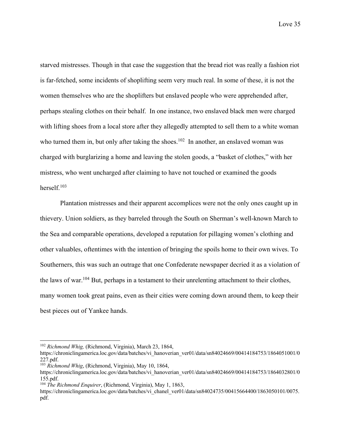starved mistresses. Though in that case the suggestion that the bread riot was really a fashion riot is far-fetched, some incidents of shoplifting seem very much real. In some of these, it is not the women themselves who are the shoplifters but enslaved people who were apprehended after, perhaps stealing clothes on their behalf. In one instance, two enslaved black men were charged with lifting shoes from a local store after they allegedly attempted to sell them to a white woman who turned them in, but only after taking the shoes.<sup>102</sup> In another, an enslaved woman was charged with burglarizing a home and leaving the stolen goods, a "basket of clothes," with her mistress, who went uncharged after claiming to have not touched or examined the goods herself.103

Plantation mistresses and their apparent accomplices were not the only ones caught up in thievery. Union soldiers, as they barreled through the South on Sherman's well-known March to the Sea and comparable operations, developed a reputation for pillaging women's clothing and other valuables, oftentimes with the intention of bringing the spoils home to their own wives. To Southerners, this was such an outrage that one Confederate newspaper decried it as a violation of the laws of war.104 But, perhaps in a testament to their unrelenting attachment to their clothes, many women took great pains, even as their cities were coming down around them, to keep their best pieces out of Yankee hands.

<sup>102</sup> *Richmond Whig,* (Richmond, Virginia), March 23, 1864,

https://chroniclingamerica.loc.gov/data/batches/vi\_hanoverian\_ver01/data/sn84024669/00414184753/1864051001/0 227.pdf. 103 *Richmond Whig*, (Richmond, Virginia), May 10, 1864,

https://chroniclingamerica.loc.gov/data/batches/vi\_hanoverian\_ver01/data/sn84024669/00414184753/1864032801/0 155.pdf. 104 *The Richmond Enquirer*, (Richmond, Virginia), May 1, 1863,

https://chroniclingamerica.loc.gov/data/batches/vi\_chanel\_ver01/data/sn84024735/00415664400/1863050101/0075. pdf.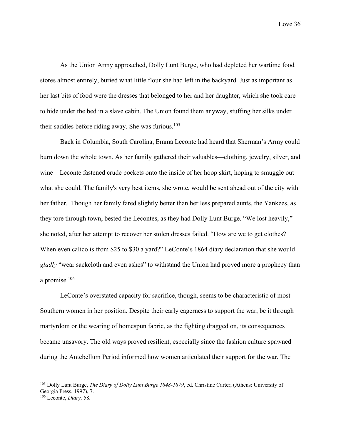As the Union Army approached, Dolly Lunt Burge, who had depleted her wartime food stores almost entirely, buried what little flour she had left in the backyard. Just as important as her last bits of food were the dresses that belonged to her and her daughter, which she took care to hide under the bed in a slave cabin. The Union found them anyway, stuffing her silks under their saddles before riding away. She was furious.<sup>105</sup>

Back in Columbia, South Carolina, Emma Leconte had heard that Sherman's Army could burn down the whole town. As her family gathered their valuables—clothing, jewelry, silver, and wine—Leconte fastened crude pockets onto the inside of her hoop skirt, hoping to smuggle out what she could. The family's very best items, she wrote, would be sent ahead out of the city with her father. Though her family fared slightly better than her less prepared aunts, the Yankees, as they tore through town, bested the Lecontes, as they had Dolly Lunt Burge. "We lost heavily," she noted, after her attempt to recover her stolen dresses failed. "How are we to get clothes? When even calico is from \$25 to \$30 a yard?" LeConte's 1864 diary declaration that she would *gladly* "wear sackcloth and even ashes" to withstand the Union had proved more a prophecy than a promise.106

LeConte's overstated capacity for sacrifice, though, seems to be characteristic of most Southern women in her position. Despite their early eagerness to support the war, be it through martyrdom or the wearing of homespun fabric, as the fighting dragged on, its consequences became unsavory. The old ways proved resilient, especially since the fashion culture spawned during the Antebellum Period informed how women articulated their support for the war. The

<sup>105</sup> Dolly Lunt Burge, *The Diary of Dolly Lunt Burge 1848-1879*, ed. Christine Carter, (Athens: University of Georgia Press, 1997), 7. <sup>106</sup> Leconte, *Diary,* 58.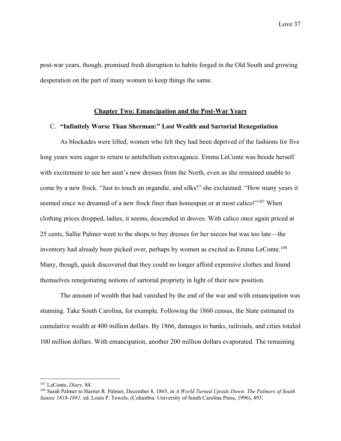post-war years, though, promised fresh disruption to habits forged in the Old South and growing desperation on the part of many women to keep things the same.

### **Chapter Two: Emancipation and the Post-War Years**

### C. **"Infinitely Worse Than Sherman:" Lost Wealth and Sartorial Renegotiation**

As blockades were lifted, women who felt they had been deprived of the fashions for five long years were eager to return to antebellum extravagance. Emma LeConte was beside herself with excitement to see her aunt's new dresses from the North, even as she remained unable to come by a new frock. "Just to touch an organdie, and silks!" she exclaimed. "How many years it seemed since we dreamed of a new frock finer than homespun or at most calico!"<sup>107</sup> When clothing prices dropped, ladies, it seems, descended in droves. With calico once again priced at 25 cents, Sallie Palmer went to the shops to buy dresses for her nieces but was too late—the inventory had already been picked over, perhaps by women as excited as Emma LeConte.108 Many, though, quick discovered that they could no longer afford expensive clothes and found themselves renegotiating notions of sartorial propriety in light of their new position.

The amount of wealth that had vanished by the end of the war and with emancipation was stunning. Take South Carolina, for example. Following the 1860 census, the State estimated its cumulative wealth at 400 million dollars. By 1866, damages to banks, railroads, and cities totaled 100 million dollars. With emancipation, another 200 million dollars evaporated. The remaining

<sup>&</sup>lt;sup>107</sup> LeConte, *Diary*, 84.<br><sup>108</sup> Sarah Palmer to Harriet R. Palmer, December 8, 1865, in *A World Turned Upside Down: The Palmers of South Santee 1818-1881,* ed. Louis P. Towels, (Columbia: University of South Carolina Press, 1996), 493.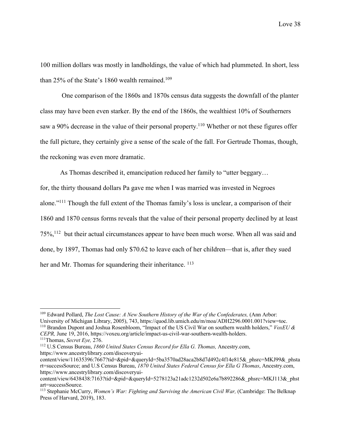100 million dollars was mostly in landholdings, the value of which had plummeted. In short, less than 25% of the State's 1860 wealth remained.<sup>109</sup>

One comparison of the 1860s and 1870s census data suggests the downfall of the planter class may have been even starker. By the end of the 1860s, the wealthiest 10% of Southerners saw a 90% decrease in the value of their personal property.<sup>110</sup> Whether or not these figures offer the full picture, they certainly give a sense of the scale of the fall. For Gertrude Thomas, though, the reckoning was even more dramatic.

As Thomas described it, emancipation reduced her family to "utter beggary… for, the thirty thousand dollars Pa gave me when I was married was invested in Negroes alone."111 Though the full extent of the Thomas family's loss is unclear, a comparison of their 1860 and 1870 census forms reveals that the value of their personal property declined by at least 75%,112 but their actual circumstances appear to have been much worse. When all was said and done, by 1897, Thomas had only \$70.62 to leave each of her children—that is, after they sued her and Mr. Thomas for squandering their inheritance. <sup>113</sup>

<sup>&</sup>lt;sup>109</sup> Edward Pollard, *The Lost Cause: A New Southern History of the War of the Confederates*, (Ann Arbor:<br>University of Michigan Library, 2005), 743, https://quod.lib.umich.edu/m/moa/ADH2296.0001.001?view=toc. <sup>110</sup> Brandon Dupont and Joshua Rosenbloom, "Impact of the US Civil War on southern wealth holders," *VoxEU & CEPR*, June 19, 2016, https://voxeu.org/article/impact-us-civil-war-southern-wealth-holders.

<sup>&</sup>lt;sup>111</sup>Thomas, Secret Eye, 276.<br><sup>112</sup> U.S Census Bureau, 1860 United States Census Record for Ella G. Thomas, Ancestry.com, https://www.ancestrylibrary.com/discoveryui-

content/view/11635396:7667?tid=&pid=&queryId=5ba3570ad28aca2b8d7d492c4f14e815&\_phsrc=MKJ99&\_phsta rt=successSource; and U.S Census Bureau, *1870 United States Federal Census for Ella G Thomas*, Ancestry.com, https://www.ancestrylibrary.com/discoveryui-

content/view/6438438:7163?tid=&pid=&queryId=5278123a21adc1232d502e6a7b892286&\_phsrc=MKJ113&\_phst art=successSource.<br><sup>113</sup> Stephanie McCurry, *Women's War: Fighting and Surviving the American Civil War*, (Cambridge: The Belknap

Press of Harvard, 2019), 183.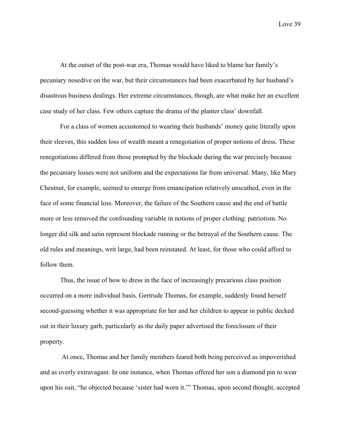At the outset of the post-war era, Thomas would have liked to blame her family's pecuniary nosedive on the war, but their circumstances had been exacerbated by her husband's disastrous business dealings. Her extreme circumstances, though, are what make her an excellent case study of her class. Few others capture the drama of the planter class' downfall.

For a class of women accustomed to wearing their husbands' money quite literally upon their sleeves, this sudden loss of wealth meant a renegotiation of proper notions of dress. These renegotiations differed from those prompted by the blockade during the war precisely because the pecuniary losses were not uniform and the expectations far from universal. Many, like Mary Chestnut, for example, seemed to emerge from emancipation relatively unscathed, even in the face of some financial loss. Moreover, the failure of the Southern cause and the end of battle more or less removed the confounding variable in notions of proper clothing: patriotism. No longer did silk and satin represent blockade running or the betrayal of the Southern cause. The old rules and meanings, writ large, had been reinstated. At least, for those who could afford to follow them.

Thus, the issue of how to dress in the face of increasingly precarious class position occurred on a more individual basis. Gertrude Thomas, for example, suddenly found herself second-guessing whether it was appropriate for her and her children to appear in public decked out in their luxury garb, particularly as the daily paper advertised the foreclosure of their property.

At once, Thomas and her family members feared both being perceived as impoverished and as overly extravagant. In one instance, when Thomas offered her son a diamond pin to wear upon his suit, "he objected because 'sister had worn it.'" Thomas, upon second thought, accepted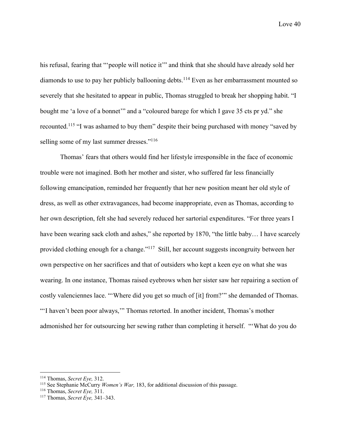his refusal, fearing that "'people will notice it'" and think that she should have already sold her diamonds to use to pay her publicly ballooning debts.<sup>114</sup> Even as her embarrassment mounted so severely that she hesitated to appear in public, Thomas struggled to break her shopping habit. "I bought me 'a love of a bonnet'" and a "coloured barege for which I gave 35 cts pr yd." she recounted.115 "I was ashamed to buy them" despite their being purchased with money "saved by selling some of my last summer dresses."<sup>116</sup>

Thomas' fears that others would find her lifestyle irresponsible in the face of economic trouble were not imagined. Both her mother and sister, who suffered far less financially following emancipation, reminded her frequently that her new position meant her old style of dress, as well as other extravagances, had become inappropriate, even as Thomas, according to her own description, felt she had severely reduced her sartorial expenditures. "For three years I have been wearing sack cloth and ashes," she reported by 1870, "the little baby... I have scarcely provided clothing enough for a change."117 Still, her account suggests incongruity between her own perspective on her sacrifices and that of outsiders who kept a keen eye on what she was wearing. In one instance, Thomas raised eyebrows when her sister saw her repairing a section of costly valenciennes lace. "'Where did you get so much of [it] from?'" she demanded of Thomas. "'I haven't been poor always,'" Thomas retorted. In another incident, Thomas's mother admonished her for outsourcing her sewing rather than completing it herself. "'What do you do

<sup>114</sup> Thomas, *Secret Eye,* 312.

<sup>&</sup>lt;sup>115</sup> See Stephanie McCurry *Women's War*, 183, for additional discussion of this passage.

<sup>116</sup> Thomas, *Secret Eye,* 311.

<sup>117</sup> Thomas, *Secret Eye,* 341–343.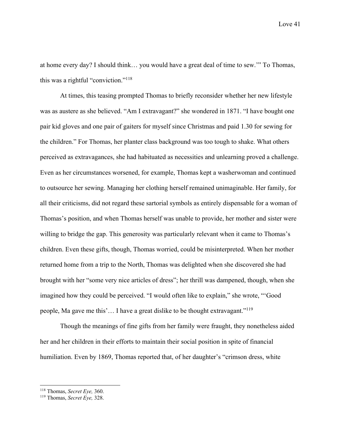at home every day? I should think… you would have a great deal of time to sew.'" To Thomas, this was a rightful "conviction."118

At times, this teasing prompted Thomas to briefly reconsider whether her new lifestyle was as austere as she believed. "Am I extravagant?" she wondered in 1871. "I have bought one pair kid gloves and one pair of gaiters for myself since Christmas and paid 1.30 for sewing for the children." For Thomas, her planter class background was too tough to shake. What others perceived as extravagances, she had habituated as necessities and unlearning proved a challenge. Even as her circumstances worsened, for example, Thomas kept a washerwoman and continued to outsource her sewing. Managing her clothing herself remained unimaginable. Her family, for all their criticisms, did not regard these sartorial symbols as entirely dispensable for a woman of Thomas's position, and when Thomas herself was unable to provide, her mother and sister were willing to bridge the gap. This generosity was particularly relevant when it came to Thomas's children. Even these gifts, though, Thomas worried, could be misinterpreted. When her mother returned home from a trip to the North, Thomas was delighted when she discovered she had brought with her "some very nice articles of dress"; her thrill was dampened, though, when she imagined how they could be perceived. "I would often like to explain," she wrote, "'Good people, Ma gave me this'… I have a great dislike to be thought extravagant."119

Though the meanings of fine gifts from her family were fraught, they nonetheless aided her and her children in their efforts to maintain their social position in spite of financial humiliation. Even by 1869, Thomas reported that, of her daughter's "crimson dress, white

<sup>118</sup> Thomas, *Secret Eye,* 360. 119 Thomas, *Secret Eye,* 328.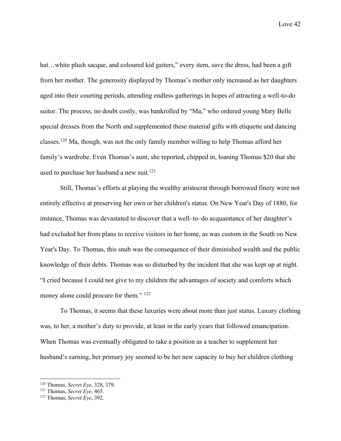hat...white plush sacque, and coloured kid gaiters," every item, save the dress, had been a gift from her mother. The generosity displayed by Thomas's mother only increased as her daughters aged into their courting periods, attending endless gatherings in hopes of attracting a well-to-do suitor. The process, no doubt costly, was bankrolled by "Ma," who ordered young Mary Belle special dresses from the North and supplemented these material gifts with etiquette and dancing classes.120 Ma, though, was not the only family member willing to help Thomas afford her family's wardrobe. Even Thomas's aunt, she reported, chipped in, loaning Thomas \$20 that she used to purchase her husband a new suit.<sup>121</sup>

Still, Thomas's efforts at playing the wealthy aristocrat through borrowed finery were not entirely effective at preserving her own or her children's status. On New Year's Day of 1880, for instance, Thomas was devastated to discover that a well–to–do acquaintance of her daughter's had excluded her from plans to receive visitors in her home, as was custom in the South on New Year's Day. To Thomas, this snub was the consequence of their diminished wealth and the public knowledge of their debts. Thomas was so disturbed by the incident that she was kept up at night. "I cried because I could not give to my children the advantages of society and comforts which money alone could procure for them." <sup>122</sup>

To Thomas, it seems that these luxuries were about more than just status. Luxury clothing was, to her, a mother's duty to provide, at least in the early years that followed emancipation. When Thomas was eventually obligated to take a position as a teacher to supplement her husband's earning, her primary joy seemed to be her new capacity to buy her children clothing

<sup>120</sup> Thomas, *Secret Eye,* 328, 379.

<sup>121</sup> Thomas, *Secret Eye,* 465.

<sup>122</sup> Thomas, *Secret Eye*, 392.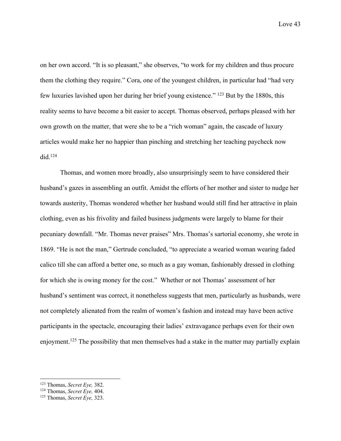on her own accord. "It is so pleasant," she observes, "to work for my children and thus procure them the clothing they require." Cora, one of the youngest children, in particular had "had very few luxuries lavished upon her during her brief young existence." 123 But by the 1880s, this reality seems to have become a bit easier to accept. Thomas observed, perhaps pleased with her own growth on the matter, that were she to be a "rich woman" again, the cascade of luxury articles would make her no happier than pinching and stretching her teaching paycheck now  $did.<sup>124</sup>$ 

Thomas, and women more broadly, also unsurprisingly seem to have considered their husband's gazes in assembling an outfit. Amidst the efforts of her mother and sister to nudge her towards austerity, Thomas wondered whether her husband would still find her attractive in plain clothing, even as his frivolity and failed business judgments were largely to blame for their pecuniary downfall. "Mr. Thomas never praises" Mrs. Thomas's sartorial economy, she wrote in 1869. "He is not the man," Gertrude concluded, "to appreciate a wearied woman wearing faded calico till she can afford a better one, so much as a gay woman, fashionably dressed in clothing for which she is owing money for the cost." Whether or not Thomas' assessment of her husband's sentiment was correct, it nonetheless suggests that men, particularly as husbands, were not completely alienated from the realm of women's fashion and instead may have been active participants in the spectacle, encouraging their ladies' extravagance perhaps even for their own enjoyment.<sup>125</sup> The possibility that men themselves had a stake in the matter may partially explain

<sup>123</sup> Thomas, *Secret Eye,* 382. 124 Thomas, *Secret Eye,* 404. 125 Thomas, *Secret Eye,* 323.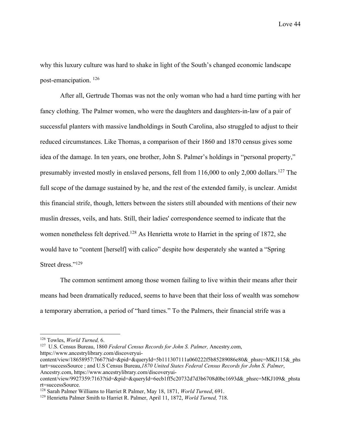why this luxury culture was hard to shake in light of the South's changed economic landscape post-emancipation. 126

After all, Gertrude Thomas was not the only woman who had a hard time parting with her fancy clothing. The Palmer women, who were the daughters and daughters-in-law of a pair of successful planters with massive landholdings in South Carolina, also struggled to adjust to their reduced circumstances. Like Thomas, a comparison of their 1860 and 1870 census gives some idea of the damage. In ten years, one brother, John S. Palmer's holdings in "personal property," presumably invested mostly in enslaved persons, fell from 116,000 to only 2,000 dollars.<sup>127</sup> The full scope of the damage sustained by he, and the rest of the extended family, is unclear. Amidst this financial strife, though, letters between the sisters still abounded with mentions of their new muslin dresses, veils, and hats. Still, their ladies' correspondence seemed to indicate that the women nonetheless felt deprived.<sup>128</sup> As Henrietta wrote to Harriet in the spring of 1872, she would have to "content [herself] with calico" despite how desperately she wanted a "Spring Street dress."<sup>129</sup>

The common sentiment among those women failing to live within their means after their means had been dramatically reduced, seems to have been that their loss of wealth was somehow a temporary aberration, a period of "hard times." To the Palmers, their financial strife was a

<sup>126</sup> Towles, *World Turned,* 6.

<sup>127</sup> U.S. Census Bureau, 1860 *Federal Census Records for John S. Palmer,* Ancestry.com, https://www.ancestrylibrary.com/discoveryui-

content/view/18658957:7667?tid=&pid=&queryId=5b111307111a060222f5b85289086e80&\_phsrc=MKJ115&\_phs tart=successSource ; and U.S Census Bureau,*1870 United States Federal Census Records for John S. Palmer*, Ancestry.com, https://www.ancestrylibrary.com/discoveryui-

content/view/9927359:7163?tid=&pid=&queryId=6ecb1ff5c20732d7d3b6708d0bc1693d&\_phsrc=MKJ109&\_phsta rt=successSource. 128 Sarah Palmer Williams to Harriet R Palmer, May 18, 1871, *World Turned*, 691. 129 Henrietta Palmer Smith to Harriet R. Palmer, April 11, 1872, *World Turned,* 718.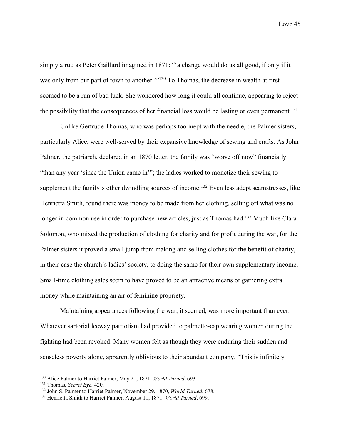simply a rut; as Peter Gaillard imagined in 1871: "'a change would do us all good, if only if it was only from our part of town to another."<sup>130</sup> To Thomas, the decrease in wealth at first seemed to be a run of bad luck. She wondered how long it could all continue, appearing to reject the possibility that the consequences of her financial loss would be lasting or even permanent.<sup>131</sup>

Unlike Gertrude Thomas, who was perhaps too inept with the needle, the Palmer sisters, particularly Alice, were well-served by their expansive knowledge of sewing and crafts. As John Palmer, the patriarch, declared in an 1870 letter, the family was "worse off now" financially "than any year 'since the Union came in'"; the ladies worked to monetize their sewing to supplement the family's other dwindling sources of income.<sup>132</sup> Even less adept seamstresses, like Henrietta Smith, found there was money to be made from her clothing, selling off what was no longer in common use in order to purchase new articles, just as Thomas had.<sup>133</sup> Much like Clara Solomon, who mixed the production of clothing for charity and for profit during the war, for the Palmer sisters it proved a small jump from making and selling clothes for the benefit of charity, in their case the church's ladies' society, to doing the same for their own supplementary income. Small-time clothing sales seem to have proved to be an attractive means of garnering extra money while maintaining an air of feminine propriety.

Maintaining appearances following the war, it seemed, was more important than ever. Whatever sartorial leeway patriotism had provided to palmetto-cap wearing women during the fighting had been revoked. Many women felt as though they were enduring their sudden and senseless poverty alone, apparently oblivious to their abundant company. "This is infinitely

<sup>&</sup>lt;sup>130</sup> Alice Palmer to Harriet Palmer, May 21, 1871, *World Turned*, 693.<br><sup>131</sup> Thomas, *Secret Eye*, 420.<br><sup>132</sup> John S. Palmer to Harriet Palmer, November 29, 1870, *World Turned*, 678.

<sup>133</sup> Henrietta Smith to Harriet Palmer, August 11, 1871, *World Turned*, 699.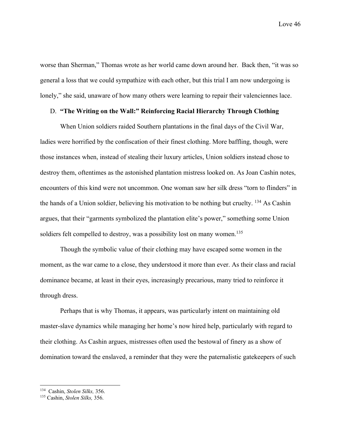worse than Sherman," Thomas wrote as her world came down around her. Back then, "it was so general a loss that we could sympathize with each other, but this trial I am now undergoing is lonely," she said, unaware of how many others were learning to repair their valenciennes lace.

### D. **"The Writing on the Wall:" Reinforcing Racial Hierarchy Through Clothing**

When Union soldiers raided Southern plantations in the final days of the Civil War, ladies were horrified by the confiscation of their finest clothing. More baffling, though, were those instances when, instead of stealing their luxury articles, Union soldiers instead chose to destroy them, oftentimes as the astonished plantation mistress looked on. As Joan Cashin notes, encounters of this kind were not uncommon. One woman saw her silk dress "torn to flinders" in the hands of a Union soldier, believing his motivation to be nothing but cruelty. 134 As Cashin argues, that their "garments symbolized the plantation elite's power," something some Union soldiers felt compelled to destroy, was a possibility lost on many women.<sup>135</sup>

Though the symbolic value of their clothing may have escaped some women in the moment, as the war came to a close, they understood it more than ever. As their class and racial dominance became, at least in their eyes, increasingly precarious, many tried to reinforce it through dress.

Perhaps that is why Thomas, it appears, was particularly intent on maintaining old master-slave dynamics while managing her home's now hired help, particularly with regard to their clothing. As Cashin argues, mistresses often used the bestowal of finery as a show of domination toward the enslaved, a reminder that they were the paternalistic gatekeepers of such

<sup>134</sup> Cashin, *Stolen Silks,* 356. 135 Cashin, *Stolen Silks,* 356.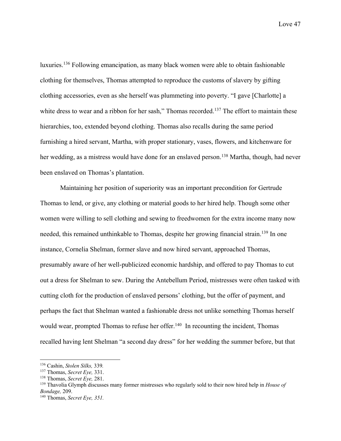luxuries.136 Following emancipation, as many black women were able to obtain fashionable clothing for themselves, Thomas attempted to reproduce the customs of slavery by gifting clothing accessories, even as she herself was plummeting into poverty. "I gave [Charlotte] a white dress to wear and a ribbon for her sash," Thomas recorded.<sup>137</sup> The effort to maintain these hierarchies, too, extended beyond clothing. Thomas also recalls during the same period furnishing a hired servant, Martha, with proper stationary, vases, flowers, and kitchenware for her wedding, as a mistress would have done for an enslaved person.<sup>138</sup> Martha, though, had never been enslaved on Thomas's plantation.

Maintaining her position of superiority was an important precondition for Gertrude Thomas to lend, or give, any clothing or material goods to her hired help. Though some other women were willing to sell clothing and sewing to freedwomen for the extra income many now needed, this remained unthinkable to Thomas, despite her growing financial strain.<sup>139</sup> In one instance, Cornelia Shelman, former slave and now hired servant, approached Thomas, presumably aware of her well-publicized economic hardship, and offered to pay Thomas to cut out a dress for Shelman to sew. During the Antebellum Period, mistresses were often tasked with cutting cloth for the production of enslaved persons' clothing, but the offer of payment, and perhaps the fact that Shelman wanted a fashionable dress not unlike something Thomas herself would wear, prompted Thomas to refuse her offer.<sup>140</sup> In recounting the incident, Thomas recalled having lent Shelman "a second day dress" for her wedding the summer before, but that

<sup>136</sup> Cashin, *Stolen Silks,* 339*.*

<sup>&</sup>lt;sup>137</sup> Thomas, *Secret Eye*, 331.<br><sup>138</sup> Thomas, *Secret Eye*, 281.<br><sup>139</sup> Thavolia Glymph discusses many former mistresses who regularly sold to their now hired help in *House of Bondage*, 209.

<sup>&</sup>lt;sup>140</sup> Thomas, *Secret Eye*, 351.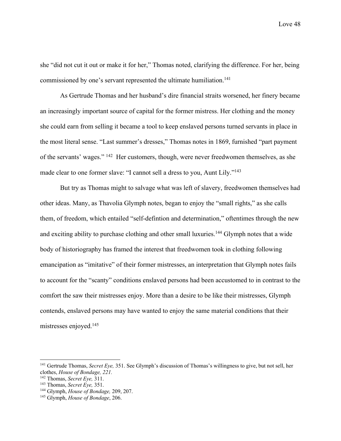she "did not cut it out or make it for her," Thomas noted, clarifying the difference. For her, being commissioned by one's servant represented the ultimate humiliation.<sup>141</sup>

As Gertrude Thomas and her husband's dire financial straits worsened, her finery became an increasingly important source of capital for the former mistress. Her clothing and the money she could earn from selling it became a tool to keep enslaved persons turned servants in place in the most literal sense. "Last summer's dresses," Thomas notes in 1869, furnished "part payment of the servants' wages." 142 Her customers, though, were never freedwomen themselves, as she made clear to one former slave: "I cannot sell a dress to you, Aunt Lily."<sup>143</sup>

But try as Thomas might to salvage what was left of slavery, freedwomen themselves had other ideas. Many, as Thavolia Glymph notes, began to enjoy the "small rights," as she calls them, of freedom, which entailed "self-defintion and determination," oftentimes through the new and exciting ability to purchase clothing and other small luxuries.<sup>144</sup> Glymph notes that a wide body of historiography has framed the interest that freedwomen took in clothing following emancipation as "imitative" of their former mistresses, an interpretation that Glymph notes fails to account for the "scanty" conditions enslaved persons had been accustomed to in contrast to the comfort the saw their mistresses enjoy. More than a desire to be like their mistresses, Glymph contends, enslaved persons may have wanted to enjoy the same material conditions that their mistresses enjoyed.145

<sup>141</sup> Gertrude Thomas, *Secret Eye,* 351. See Glymph's discussion of Thomas's willingness to give, but not sell, her clothes, *House of Bondage, 221.*

<sup>142</sup> Thomas, *Secret Eye,* 311.

<sup>143</sup> Thomas, *Secret Eye,* 351.

<sup>144</sup> Glymph, *House of Bondage,* 209, 207.

<sup>145</sup> Glymph, *House of Bondage*, 206.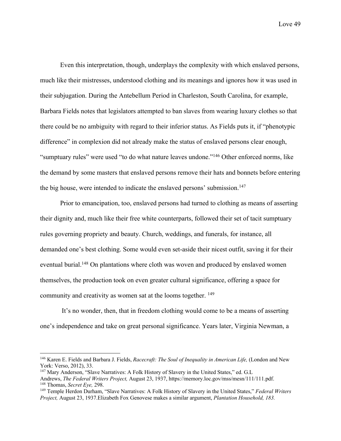Even this interpretation, though, underplays the complexity with which enslaved persons, much like their mistresses, understood clothing and its meanings and ignores how it was used in their subjugation. During the Antebellum Period in Charleston, South Carolina, for example, Barbara Fields notes that legislators attempted to ban slaves from wearing luxury clothes so that there could be no ambiguity with regard to their inferior status. As Fields puts it, if "phenotypic difference" in complexion did not already make the status of enslaved persons clear enough, "sumptuary rules" were used "to do what nature leaves undone."146 Other enforced norms, like the demand by some masters that enslaved persons remove their hats and bonnets before entering the big house, were intended to indicate the enslaved persons' submission.<sup>147</sup>

Prior to emancipation, too, enslaved persons had turned to clothing as means of asserting their dignity and, much like their free white counterparts, followed their set of tacit sumptuary rules governing propriety and beauty. Church, weddings, and funerals, for instance, all demanded one's best clothing. Some would even set-aside their nicest outfit, saving it for their eventual burial.<sup>148</sup> On plantations where cloth was woven and produced by enslaved women themselves, the production took on even greater cultural significance, offering a space for community and creativity as women sat at the looms together. <sup>149</sup>

It's no wonder, then, that in freedom clothing would come to be a means of asserting one's independence and take on great personal significance. Years later, Virginia Newman, a

<sup>&</sup>lt;sup>146</sup> Karen E. Fields and Barbara J. Fields, *Racecraft: The Soul of Inequality in American Life*, (London and New York: Verso, 2012), 33.

<sup>&</sup>lt;sup>147</sup> Mary Anderson, "Slave Narratives: A Folk History of Slavery in the United States," ed. G.L Andrews, *The Federal Writers Project,* August 23, 1937, https://memory.loc.gov/mss/mesn/111/111.pdf. <sup>148</sup> Thomas, *Secret Eye*, 298.<br><sup>149</sup> Temple Herdon Durham, "Slave Narratives: A Folk History of Slavery in the United States," *Federal Writers* 

*Project,* August 23, 1937.Elizabeth Fox Genovese makes a similar argument, *Plantation Household, 183.*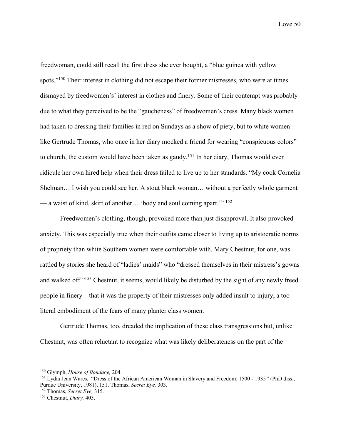freedwoman, could still recall the first dress she ever bought, a "blue guinea with yellow spots."<sup>150</sup> Their interest in clothing did not escape their former mistresses, who were at times dismayed by freedwomen's' interest in clothes and finery. Some of their contempt was probably due to what they perceived to be the "gaucheness" of freedwomen's dress. Many black women had taken to dressing their families in red on Sundays as a show of piety, but to white women like Gertrude Thomas, who once in her diary mocked a friend for wearing "conspicuous colors" to church, the custom would have been taken as gaudy.<sup>151</sup> In her diary, Thomas would even ridicule her own hired help when their dress failed to live up to her standards. "My cook Cornelia Shelman… I wish you could see her. A stout black woman… without a perfectly whole garment — a waist of kind, skirt of another… 'body and soul coming apart.'" 152

Freedwomen's clothing, though, provoked more than just disapproval. It also provoked anxiety. This was especially true when their outfits came closer to living up to aristocratic norms of propriety than white Southern women were comfortable with. Mary Chestnut, for one, was rattled by stories she heard of "ladies' maids" who "dressed themselves in their mistress's gowns and walked off."153 Chestnut, it seems, would likely be disturbed by the sight of any newly freed people in finery—that it was the property of their mistresses only added insult to injury, a too literal embodiment of the fears of many planter class women.

Gertrude Thomas, too, dreaded the implication of these class transgressions but, unlike Chestnut, was often reluctant to recognize what was likely deliberateness on the part of the

<sup>150</sup> Glymph, *House of Bondage,* 204.

<sup>151</sup> Lydia Jean Wares, "Dress of the African American Woman in Slavery and Freedom: 1500 - 1935*"* (PhD diss., Purdue University, 1981), 151. Thomas, *Secret Eye,* 303. 152 Thomas, *Secret Eye,* 315. 153 Chestnut, *Diary,* 403.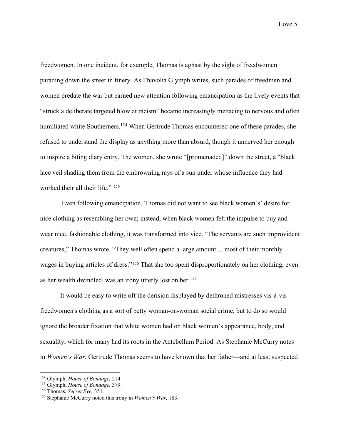freedwomen. In one incident, for example, Thomas is aghast by the sight of freedwomen parading down the street in finery. As Thavolia Glymph writes, such parades of freedmen and women predate the war but earned new attention following emancipation as the lively events that "struck a deliberate targeted blow at racism" became increasingly menacing to nervous and often humiliated white Southerners.<sup>154</sup> When Gertrude Thomas encountered one of these parades, she refused to understand the display as anything more than absurd, though it unnerved her enough to inspire a biting diary entry. The women, she wrote "[promenaded]" down the street, a "black lace veil shading them from the embrowning rays of a sun under whose influence they had worked their all their life." <sup>155</sup>

Even following emancipation, Thomas did not want to see black women's' desire for nice clothing as resembling her own; instead, when black women felt the impulse to buy and wear nice, fashionable clothing, it was transformed into vice. "The servants are such improvident creatures," Thomas wrote. "They well often spend a large amount… most of their monthly wages in buying articles of dress."156 That she too spent disproportionately on her clothing, even as her wealth dwindled, was an irony utterly lost on her.<sup>157</sup>

It would be easy to write off the derision displayed by dethroned mistresses vis-à-vis freedwomen's clothing as a sort of petty woman-on-woman social crime, but to do so would ignore the broader fixation that white women had on black women's appearance, body, and sexuality, which for many had its roots in the Antebellum Period. As Stephanie McCurry notes in *Women's War*, Gertrude Thomas seems to have known that her father—and at least suspected

<sup>&</sup>lt;sup>154</sup> Glymph, *House of Bondage*, 214.<br><sup>155</sup> Glymph, *House of Bondage*, 379.<br><sup>156</sup> Thomas, *Secret Eye*, 351.<br><sup>157</sup> Stephanie McCurry noted this irony in *Women's War*, 183.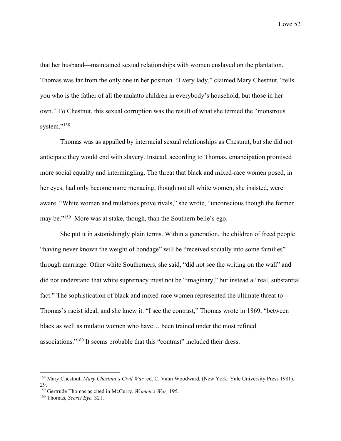that her husband—maintained sexual relationships with women enslaved on the plantation. Thomas was far from the only one in her position. "Every lady," claimed Mary Chestnut, "tells you who is the father of all the mulatto children in everybody's household, but those in her own." To Chestnut, this sexual corruption was the result of what she termed the "monstrous system."<sup>158</sup>

Thomas was as appalled by interracial sexual relationships as Chestnut, but she did not anticipate they would end with slavery. Instead, according to Thomas, emancipation promised more social equality and intermingling. The threat that black and mixed-race women posed, in her eyes, had only become more menacing, though not all white women, she insisted, were aware. "White women and mulattoes prove rivals," she wrote, "unconscious though the former may be."<sup>159</sup> More was at stake, though, than the Southern belle's ego.

She put it in astonishingly plain terms. Within a generation, the children of freed people "having never known the weight of bondage" will be "received socially into some families" through marriage. Other white Southerners, she said, "did not see the writing on the wall" and did not understand that white supremacy must not be "imaginary," but instead a "real, substantial fact." The sophistication of black and mixed-race women represented the ultimate threat to Thomas's racist ideal, and she knew it. "I see the contrast," Thomas wrote in 1869, "between black as well as mulatto women who have… been trained under the most refined associations."160 It seems probable that this "contrast" included their dress.

<sup>158</sup> Mary Chestnut, *Mary Chestnut's Civil War,* ed. C. Vann Woodward, (New York: Yale University Press 1981), 29.

<sup>159</sup> Gertrude Thomas as cited in McCurry, *Women's War,* 195.

<sup>160</sup> Thomas, *Secret Eye,* 321.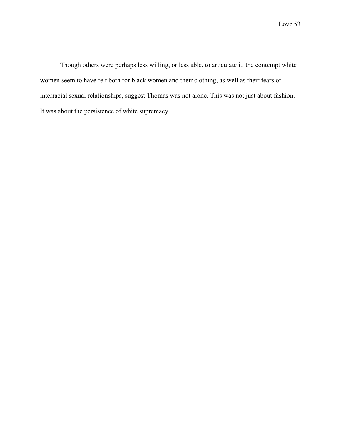Though others were perhaps less willing, or less able, to articulate it, the contempt white women seem to have felt both for black women and their clothing, as well as their fears of interracial sexual relationships, suggest Thomas was not alone. This was not just about fashion. It was about the persistence of white supremacy.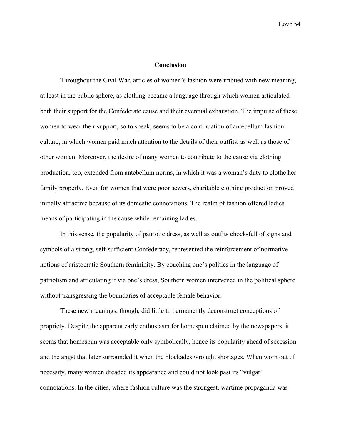### **Conclusion**

Throughout the Civil War, articles of women's fashion were imbued with new meaning, at least in the public sphere, as clothing became a language through which women articulated both their support for the Confederate cause and their eventual exhaustion. The impulse of these women to wear their support, so to speak, seems to be a continuation of antebellum fashion culture, in which women paid much attention to the details of their outfits, as well as those of other women. Moreover, the desire of many women to contribute to the cause via clothing production, too, extended from antebellum norms, in which it was a woman's duty to clothe her family properly. Even for women that were poor sewers, charitable clothing production proved initially attractive because of its domestic connotations. The realm of fashion offered ladies means of participating in the cause while remaining ladies.

In this sense, the popularity of patriotic dress, as well as outfits chock-full of signs and symbols of a strong, self-sufficient Confederacy, represented the reinforcement of normative notions of aristocratic Southern femininity. By couching one's politics in the language of patriotism and articulating it via one's dress, Southern women intervened in the political sphere without transgressing the boundaries of acceptable female behavior.

These new meanings, though, did little to permanently deconstruct conceptions of propriety. Despite the apparent early enthusiasm for homespun claimed by the newspapers, it seems that homespun was acceptable only symbolically, hence its popularity ahead of secession and the angst that later surrounded it when the blockades wrought shortages. When worn out of necessity, many women dreaded its appearance and could not look past its "vulgar" connotations. In the cities, where fashion culture was the strongest, wartime propaganda was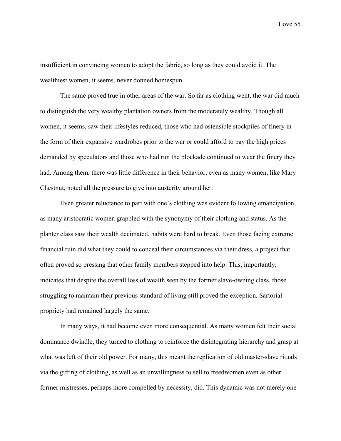insufficient in convincing women to adopt the fabric, so long as they could avoid it. The wealthiest women, it seems, never donned homespun.

The same proved true in other areas of the war. So far as clothing went, the war did much to distinguish the very wealthy plantation owners from the moderately wealthy. Though all women, it seems, saw their lifestyles reduced, those who had ostensible stockpiles of finery in the form of their expansive wardrobes prior to the war or could afford to pay the high prices demanded by speculators and those who had run the blockade continued to wear the finery they had. Among them, there was little difference in their behavior, even as many women, like Mary Chestnut, noted all the pressure to give into austerity around her.

Even greater reluctance to part with one's clothing was evident following emancipation, as many aristocratic women grappled with the synonymy of their clothing and status. As the planter class saw their wealth decimated, habits were hard to break. Even those facing extreme financial ruin did what they could to conceal their circumstances via their dress, a project that often proved so pressing that other family members stepped into help. This, importantly, indicates that despite the overall loss of wealth seen by the former slave-owning class, those struggling to maintain their previous standard of living still proved the exception. Sartorial propriety had remained largely the same.

In many ways, it had become even more consequential. As many women felt their social dominance dwindle, they turned to clothing to reinforce the disintegrating hierarchy and grasp at what was left of their old power. For many, this meant the replication of old master-slave rituals via the gifting of clothing, as well as an unwillingness to sell to freedwomen even as other former mistresses, perhaps more compelled by necessity, did. This dynamic was not merely one-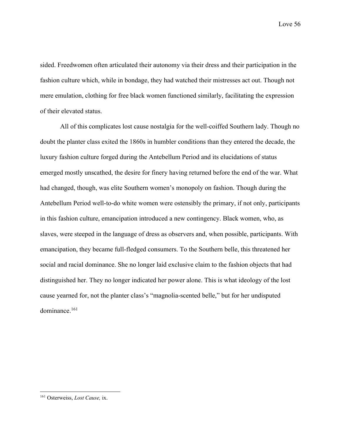sided. Freedwomen often articulated their autonomy via their dress and their participation in the fashion culture which, while in bondage, they had watched their mistresses act out. Though not mere emulation, clothing for free black women functioned similarly, facilitating the expression of their elevated status.

All of this complicates lost cause nostalgia for the well-coiffed Southern lady. Though no doubt the planter class exited the 1860s in humbler conditions than they entered the decade, the luxury fashion culture forged during the Antebellum Period and its elucidations of status emerged mostly unscathed, the desire for finery having returned before the end of the war. What had changed, though, was elite Southern women's monopoly on fashion. Though during the Antebellum Period well-to-do white women were ostensibly the primary, if not only, participants in this fashion culture, emancipation introduced a new contingency. Black women, who, as slaves, were steeped in the language of dress as observers and, when possible, participants. With emancipation, they became full-fledged consumers. To the Southern belle, this threatened her social and racial dominance. She no longer laid exclusive claim to the fashion objects that had distinguished her. They no longer indicated her power alone. This is what ideology of the lost cause yearned for, not the planter class's "magnolia-scented belle," but for her undisputed dominance.161

<sup>161</sup> Osterweiss, *Lost Cause,* ix.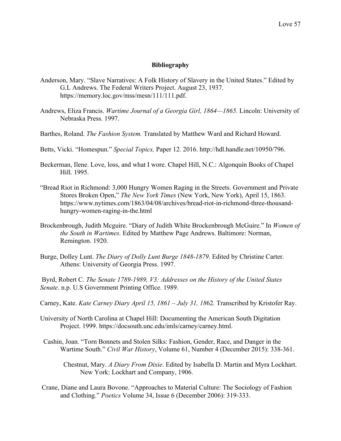### **Bibliography**

- Anderson, Mary. "Slave Narratives: A Folk History of Slavery in the United States." Edited by G.L Andrews. The Federal Writers Project. August 23, 1937. https://memory.loc.gov/mss/mesn/111/111.pdf.
- Andrews, Eliza Francis. *Wartime Journal of a Georgia Girl, 1864—1865.* Lincoln: University of Nebraska Press. 1997.
- Barthes, Roland. *The Fashion System.* Translated by Matthew Ward and Richard Howard.
- Betts, Vicki. "Homespun." *Special Topics,* Paper 12*.* 2016. http://hdl.handle.net/10950/796.
- Beckerman, Ilene. Love, loss, and what I wore. Chapel Hill, N.C.: Algonquin Books of Chapel Hill. 1995.
- "Bread Riot in Richmond: 3,000 Hungry Women Raging in the Streets. Government and Private Stores Broken Open," *The New York Times* (New York, New York), April 15, 1863. https://www.nytimes.com/1863/04/08/archives/bread-riot-in-richmond-three-thousandhungry-women-raging-in-the.html
- Brockenbrough, Judith Mcguire. "Diary of Judith White Brockenbrough McGuire." In *Women of the South in Wartimes.* Edited by Matthew Page Andrews. Baltimore: Norman, Remington. 1920.
- Burge, Dolley Lunt. *The Diary of Dolly Lunt Burge 1848-1879*. Edited by Christine Carter. Athens: University of Georgia Press. 1997.

Byrd, Robert C*. The Senate 1789-1989, V3: Addresses on the History of the United States Senate*. n.p. U.S Government Printing Office. 1989.

- Carney, Kate. *Kate Carney Diary April 15, 1861 – July 31, 18*62*.* Transcribed by Kristofer Ray.
- University of North Carolina at Chapel Hill: Documenting the American South Digitation Project. 1999. https://docsouth.unc.edu/imls/carney/carney.html.
- Cashin, Joan. "Torn Bonnets and Stolen Silks: Fashion, Gender, Race, and Danger in the Wartime South." *Civil War History*, Volume 61, Number 4 (December 2015): 338-361.
	- Chestnut, Mary. *A Diary From Dixie*. Edited by Isabella D. Martin and Myra Lockhart. New York: Lockhart and Company, 1906.
- Crane, Diane and Laura Bovone. "Approaches to Material Culture: The Sociology of Fashion and Clothing." *Poetics* Volume 34, Issue 6 (December 2006): 319-333.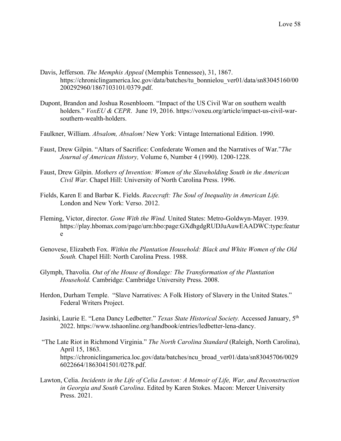- Davis, Jefferson. *The Memphis Appeal* (Memphis Tennessee), 31, 1867. https://chroniclingamerica.loc.gov/data/batches/tu\_bonnielou\_ver01/data/sn83045160/00 200292960/1867103101/0379.pdf.
- Dupont, Brandon and Joshua Rosenbloom. "Impact of the US Civil War on southern wealth holders." *VoxEU & CEPR*. June 19, 2016. https://voxeu.org/article/impact-us-civil-warsouthern-wealth-holders.
- Faulkner, William. *Absalom, Absalom!* New York: Vintage International Edition. 1990.
- Faust, Drew Gilpin. "Altars of Sacrifice: Confederate Women and the Narratives of War."*The Journal of American History,* Volume 6, Number 4 (1990). 1200-1228.
- Faust, Drew Gilpin. *Mothers of Invention: Women of the Slaveholding South in the American Civil War.* Chapel Hill: University of North Carolina Press. 1996.
- Fields, Karen E and Barbar K. Fields. *Racecraft: The Soul of Inequality in American Life.*  London and New York: Verso. 2012.
- Fleming, Victor, director. *Gone With the Wind.* United States: Metro-Goldwyn-Mayer. 1939. https://play.hbomax.com/page/urn:hbo:page:GXdhgdgRUDJuAuwEAADWC:type:featur e
- Genovese, Elizabeth Fox. *Within the Plantation Household: Black and White Women of the Old South.* Chapel Hill: North Carolina Press. 1988.
- Glymph, Thavolia. *Out of the House of Bondage: The Transformation of the Plantation Household.* Cambridge: Cambridge University Press. 2008.
- Herdon, Durham Temple. "Slave Narratives: A Folk History of Slavery in the United States." Federal Writers Project.
- Jasinki, Laurie E. "Lena Dancy Ledbetter." *Texas State Historical Society.* Accessed January, 5th 2022. https://www.tshaonline.org/handbook/entries/ledbetter-lena-dancy.
- "The Late Riot in Richmond Virginia." *The North Carolina Standard* (Raleigh, North Carolina), April 15, 1863. https://chroniclingamerica.loc.gov/data/batches/ncu\_broad\_ver01/data/sn83045706/0029 6022664/1863041501/0278.pdf.
- Lawton, Celia. *Incidents in the Life of Celia Lawton: A Memoir of Life, War, and Reconstruction in Georgia and South Carolina*. Edited by Karen Stokes. Macon: Mercer University Press. 2021.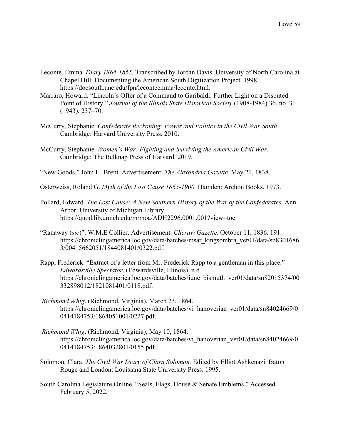- Leconte, Emma. *Diary 1864-1865.* Transcribed by Jordan Davis. University of North Carolina at Chapel Hill: Documenting the American South Digitization Project. 1998. https://docsouth.unc.edu/fpn/leconteemma/leconte.html.
- Marraro, Howard. "Lincoln's Offer of a Command to Garibaldi: Further Light on a Disputed Point of History." *Journal of the Illinois State Historical Society* (1908-1984) 36, no. 3 (1943). 237–70.
- McCurry, Stephanie. *Confederate Reckoning: Power and Politics in the Civil War South.*  Cambridge: Harvard University Press. 2010.
- McCurry, Stephanie. *Women's War: Fighting and Surviving the American Civil War*. Cambridge: The Belknap Press of Harvard. 2019.
- "New Goods." John H. Brent. Advertisement. *The Alexandria Gazette.* May 21, 1838.
- Osterweiss, Roland G. *Myth of the Lost Cause 1865-1900.* Hamden: Archon Books. 1973.
- Pollard, Edward. *The Lost Cause: A New Southern History of the War of the Confederates*. Ann Arbor: University of Michigan Library. https://quod.lib.umich.edu/m/moa/ADH2296.0001.001?view=toc.
- "Ranaway (*sic*)". W.M.E Collier. Advertisement. *Cheraw Gazette*. October 11, 1836. 191. https://chroniclingamerica.loc.gov/data/batches/msar\_kingsombra\_ver01/data/sn8301686 3/00415662051/1844081401/0322.pdf.
- Rapp, Frederick. "Extract of a letter from Mr. Frederick Rapp to a gentleman in this place." *Edwardsville Spectator*, (Edwardsville, Illinois), n.d. https://chroniclingamerica.loc.gov/data/batches/iune\_bismuth\_ver01/data/sn82015374/00 332898012/1821081401/0118.pdf.
- *Richmond Whig*. (Richmond, Virginia), March 23, 1864. https://chroniclingamerica.loc.gov/data/batches/vi\_hanoverian\_ver01/data/sn84024669/0 0414184753/1864051001/0227.pdf.
- *Richmond Whig*. (Richmond, Virginia), May 10, 1864. https://chroniclingamerica.loc.gov/data/batches/vi\_hanoverian\_ver01/data/sn84024669/0 0414184753/1864032801/0155.pdf.
- Solomon, Clara. *The Civil War Diary of Clara Solomon.* Edited by Elliot Ashkenazi. Baton Rouge and London: Louisiana State University Press. 1995.
- South Carolina Legislature Online. "Seals, Flags, House & Senate Emblems." Accessed February 5, 2022.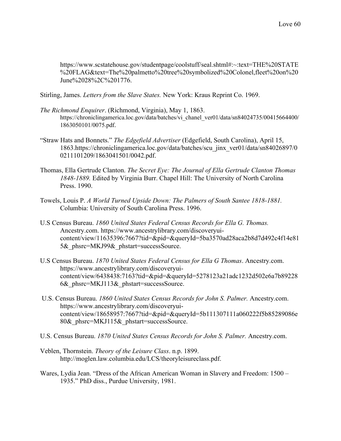https://www.scstatehouse.gov/studentpage/coolstuff/seal.shtml#:~:text=THE%20STATE %20FLAG&text=The%20palmetto%20tree%20symbolized%20Colonel,fleet%20on%20 June%2028%2C%201776.

Stirling, James. *Letters from the Slave States.* New York: Kraus Reprint Co. 1969.

- *The Richmond Enquirer*. (Richmond, Virginia), May 1, 1863. https://chroniclingamerica.loc.gov/data/batches/vi\_chanel\_ver01/data/sn84024735/00415664400/ 1863050101/0075.pdf.
- "Straw Hats and Bonnets." *The Edgefield Advertiser* (Edgefield, South Carolina), April 15, 1863.https://chroniclingamerica.loc.gov/data/batches/scu\_jinx\_ver01/data/sn84026897/0 0211101209/1863041501/0042.pdf.
- Thomas, Ella Gertrude Clanton. *The Secret Eye: The Journal of Ella Gertrude Clanton Thomas 1848-1889.* Edited by Virginia Burr. Chapel Hill: The University of North Carolina Press. 1990.
- Towels, Louis P. *A World Turned Upside Down: The Palmers of South Santee 1818-1881.*  Columbia: University of South Carolina Press. 1996.
- U.S Census Bureau. *1860 United States Federal Census Records for Ella G. Thomas.* Ancestry.com. https://www.ancestrylibrary.com/discoveryuicontent/view/11635396:7667?tid=&pid=&queryId=5ba3570ad28aca2b8d7d492c4f14e81 5& phsrc=MKJ99& phstart=successSource.
- U.S Census Bureau. *1870 United States Federal Census for Ella G Thomas*. Ancestry.com. https://www.ancestrylibrary.com/discoveryuicontent/view/6438438:7163?tid=&pid=&queryId=5278123a21adc1232d502e6a7b89228 6& phsrc=MKJ113& phstart=successSource.
- U.S. Census Bureau. *1860 United States Census Records for John S. Palmer.* Ancestry.com. https://www.ancestrylibrary.com/discoveryuicontent/view/18658957:7667?tid=&pid=&queryId=5b111307111a060222f5b85289086e 80& phsrc=MKJ115& phstart=successSource.
- U.S. Census Bureau. *1870 United States Census Records for John S. Palmer.* Ancestry.com.
- Veblen, Thornstein. *Theory of the Leisure Class*. n.p. 1899. http://moglen.law.columbia.edu/LCS/theoryleisureclass.pdf.
- Wares, Lydia Jean. "Dress of the African American Woman in Slavery and Freedom: 1500 1935." PhD diss., Purdue University, 1981.